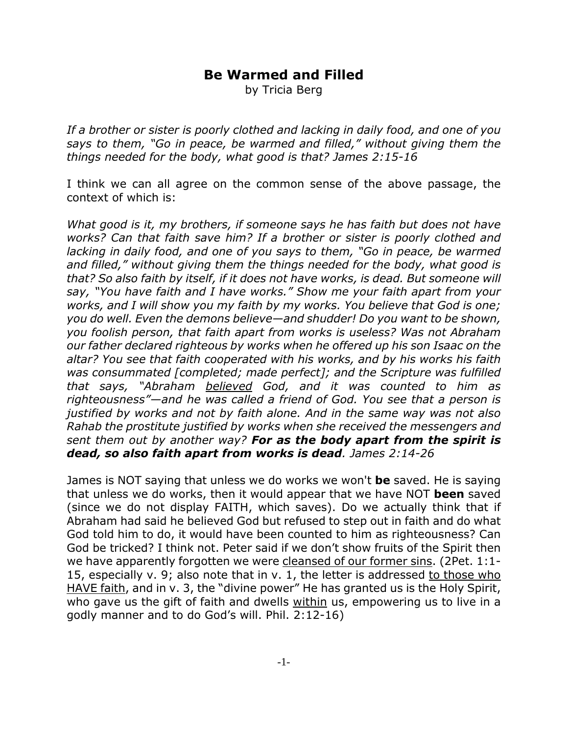# **Be Warmed and Filled**

by Tricia Berg

*If a brother or sister is poorly clothed and lacking in daily food, and one of you says to them, "Go in peace, be warmed and filled," without giving them the things needed for the body, what good is that? James 2:15-16*

I think we can all agree on the common sense of the above passage, the context of which is:

*What good is it, my brothers, if someone says he has faith but does not have works? Can that faith save him? If a brother or sister is poorly clothed and lacking in daily food, and one of you says to them, "Go in peace, be warmed and filled," without giving them the things needed for the body, what good is that? So also faith by itself, if it does not have works, is dead. But someone will say, "You have faith and I have works." Show me your faith apart from your works, and I will show you my faith by my works. You believe that God is one; you do well. Even the demons believe—and shudder! Do you want to be shown, you foolish person, that faith apart from works is useless? Was not Abraham our father declared righteous by works when he offered up his son Isaac on the altar? You see that faith cooperated with his works, and by his works his faith was consummated [completed; made perfect]; and the Scripture was fulfilled that says, "Abraham believed God, and it was counted to him as righteousness"—and he was called a friend of God. You see that a person is justified by works and not by faith alone. And in the same way was not also Rahab the prostitute justified by works when she received the messengers and sent them out by another way? For as the body apart from the spirit is dead, so also faith apart from works is dead. James 2:14-26*

James is NOT saying that unless we do works we won't **be** saved. He is saying that unless we do works, then it would appear that we have NOT **been** saved (since we do not display FAITH, which saves). Do we actually think that if Abraham had said he believed God but refused to step out in faith and do what God told him to do, it would have been counted to him as righteousness? Can God be tricked? I think not. Peter said if we don't show fruits of the Spirit then we have apparently forgotten we were cleansed of our former sins. (2Pet. 1:1-15, especially v. 9; also note that in v. 1, the letter is addressed to those who HAVE faith, and in v. 3, the "divine power" He has granted us is the Holy Spirit, who gave us the gift of faith and dwells within us, empowering us to live in a godly manner and to do God's will. Phil. 2:12-16)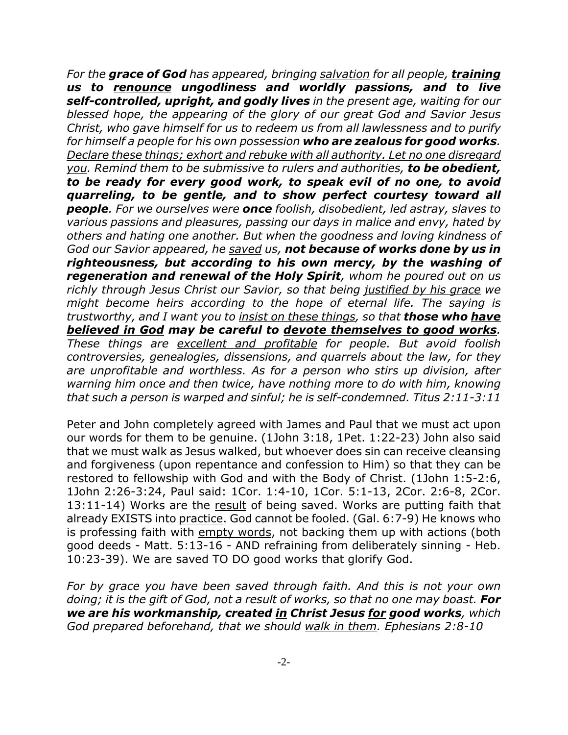*For the grace of God has appeared, bringing salvation for all people, training us to renounce ungodliness and worldly passions, and to live self-controlled, upright, and godly lives in the present age, waiting for our blessed hope, the appearing of the glory of our great God and Savior Jesus Christ, who gave himself for us to redeem us from all lawlessness and to purify for himself a people for his own possession who are zealous for good works. Declare these things; exhort and rebuke with all authority. Let no one disregard you. Remind them to be submissive to rulers and authorities, to be obedient, to be ready for every good work, to speak evil of no one, to avoid quarreling, to be gentle, and to show perfect courtesy toward all people. For we ourselves were once foolish, disobedient, led astray, slaves to various passions and pleasures, passing our days in malice and envy, hated by others and hating one another. But when the goodness and loving kindness of God our Savior appeared, he saved us, not because of works done by us in righteousness, but according to his own mercy, by the washing of regeneration and renewal of the Holy Spirit, whom he poured out on us richly through Jesus Christ our Savior, so that being justified by his grace we might become heirs according to the hope of eternal life. The saying is trustworthy, and I want you to insist on these things, so that those who have believed in God may be careful to devote themselves to good works. These things are excellent and profitable for people. But avoid foolish controversies, genealogies, dissensions, and quarrels about the law, for they are unprofitable and worthless. As for a person who stirs up division, after warning him once and then twice, have nothing more to do with him, knowing that such a person is warped and sinful; he is self-condemned. Titus 2:11-3:11*

Peter and John completely agreed with James and Paul that we must act upon our words for them to be genuine. (1John 3:18, 1Pet. 1:22-23) John also said that we must walk as Jesus walked, but whoever does sin can receive cleansing and forgiveness (upon repentance and confession to Him) so that they can be restored to fellowship with God and with the Body of Christ. (1John 1:5-2:6, 1John 2:26-3:24, Paul said: 1Cor. 1:4-10, 1Cor. 5:1-13, 2Cor. 2:6-8, 2Cor. 13:11-14) Works are the result of being saved. Works are putting faith that already EXISTS into practice. God cannot be fooled. (Gal. 6:7-9) He knows who is professing faith with empty words, not backing them up with actions (both good deeds - Matt. 5:13-16 - AND refraining from deliberately sinning - Heb. 10:23-39). We are saved TO DO good works that glorify God.

*For by grace you have been saved through faith. And this is not your own doing; it is the gift of God, not a result of works, so that no one may boast. For we are his workmanship, created in Christ Jesus for good works, which God prepared beforehand, that we should walk in them. Ephesians 2:8-10*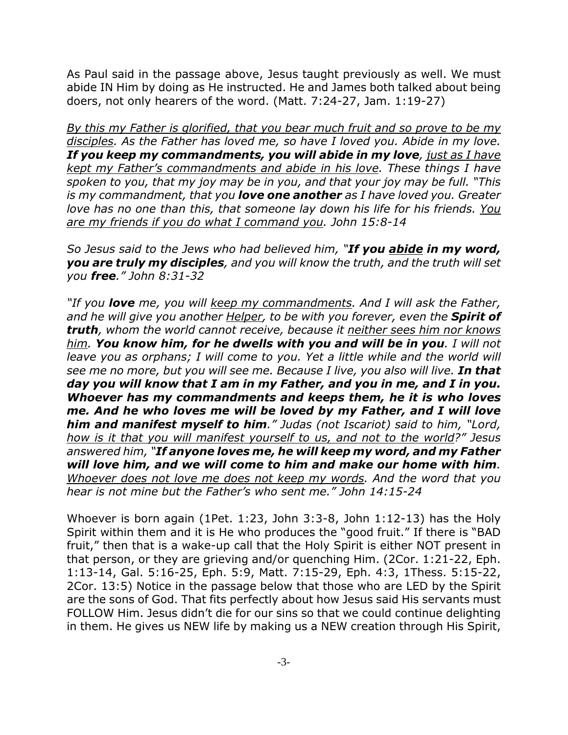As Paul said in the passage above, Jesus taught previously as well. We must abide IN Him by doing as He instructed. He and James both talked about being doers, not only hearers of the word. (Matt. 7:24-27, Jam. 1:19-27)

*By this my Father is glorified, that you bear much fruit and so prove to be my disciples. As the Father has loved me, so have I loved you. Abide in my love. If you keep my commandments, you will abide in my love, just as I have kept my Father's commandments and abide in his love. These things I have spoken to you, that my joy may be in you, and that your joy may be full. "This is my commandment, that you love one another as I have loved you. Greater love has no one than this, that someone lay down his life for his friends. You are my friends if you do what I command you. John 15:8-14*

*So Jesus said to the Jews who had believed him, "If you abide in my word, you are truly my disciples, and you will know the truth, and the truth will set you free." John 8:31-32*

*"If you love me, you will keep my commandments. And I will ask the Father, and he will give you another Helper, to be with you forever, even the Spirit of truth, whom the world cannot receive, because it neither sees him nor knows him. You know him, for he dwells with you and will be in you. I will not leave you as orphans; I will come to you. Yet a little while and the world will see me no more, but you will see me. Because I live, you also will live. In that day you will know that I am in my Father, and you in me, and I in you. Whoever has my commandments and keeps them, he it is who loves me. And he who loves me will be loved by my Father, and I will love him and manifest myself to him." Judas (not Iscariot) said to him, "Lord, how is it that you will manifest yourself to us, and not to the world?" Jesus answered him, "If anyone loves me, he will keep my word, and my Father will love him, and we will come to him and make our home with him. Whoever does not love me does not keep my words. And the word that you hear is not mine but the Father's who sent me." John 14:15-24*

Whoever is born again (1Pet. 1:23, John 3:3-8, John 1:12-13) has the Holy Spirit within them and it is He who produces the "good fruit." If there is "BAD fruit," then that is a wake-up call that the Holy Spirit is either NOT present in that person, or they are grieving and/or quenching Him. (2Cor. 1:21-22, Eph. 1:13-14, Gal. 5:16-25, Eph. 5:9, Matt. 7:15-29, Eph. 4:3, 1Thess. 5:15-22, 2Cor. 13:5) Notice in the passage below that those who are LED by the Spirit are the sons of God. That fits perfectly about how Jesus said His servants must FOLLOW Him. Jesus didn't die for our sins so that we could continue delighting in them. He gives us NEW life by making us a NEW creation through His Spirit,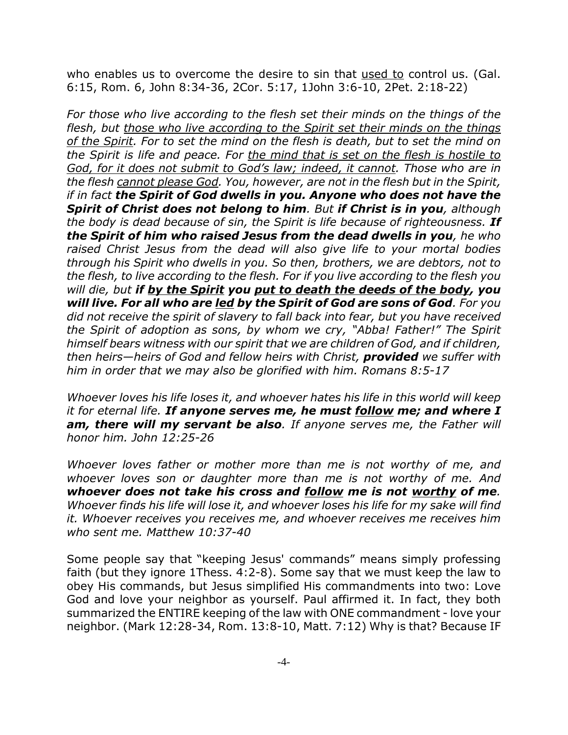who enables us to overcome the desire to sin that used to control us. (Gal. 6:15, Rom. 6, John 8:34-36, 2Cor. 5:17, 1John 3:6-10, 2Pet. 2:18-22)

*For those who live according to the flesh set their minds on the things of the flesh, but those who live according to the Spirit set their minds on the things of the Spirit. For to set the mind on the flesh is death, but to set the mind on the Spirit is life and peace. For the mind that is set on the flesh is hostile to God, for it does not submit to God's law; indeed, it cannot. Those who are in the flesh cannot please God. You, however, are not in the flesh but in the Spirit, if in fact the Spirit of God dwells in you. Anyone who does not have the Spirit of Christ does not belong to him. But if Christ is in you, although the body is dead because of sin, the Spirit is life because of righteousness. If the Spirit of him who raised Jesus from the dead dwells in you, he who raised Christ Jesus from the dead will also give life to your mortal bodies through his Spirit who dwells in you. So then, brothers, we are debtors, not to the flesh, to live according to the flesh. For if you live according to the flesh you will die, but if by the Spirit you put to death the deeds of the body, you will live. For all who are led by the Spirit of God are sons of God. For you did not receive the spirit of slavery to fall back into fear, but you have received the Spirit of adoption as sons, by whom we cry, "Abba! Father!" The Spirit himself bears witness with our spirit that we are children of God, and if children, then heirs—heirs of God and fellow heirs with Christ, provided we suffer with him in order that we may also be glorified with him. Romans 8:5-17*

*Whoever loves his life loses it, and whoever hates his life in this world will keep it for eternal life. If anyone serves me, he must follow me; and where I am, there will my servant be also. If anyone serves me, the Father will honor him. John 12:25-26*

*Whoever loves father or mother more than me is not worthy of me, and whoever loves son or daughter more than me is not worthy of me. And whoever does not take his cross and follow me is not worthy of me. Whoever finds his life will lose it, and whoever loses his life for my sake will find it. Whoever receives you receives me, and whoever receives me receives him who sent me. Matthew 10:37-40*

Some people say that "keeping Jesus' commands" means simply professing faith (but they ignore 1Thess. 4:2-8). Some say that we must keep the law to obey His commands, but Jesus simplified His commandments into two: Love God and love your neighbor as yourself. Paul affirmed it. In fact, they both summarized the ENTIRE keeping of the law with ONE commandment - love your neighbor. (Mark 12:28-34, Rom. 13:8-10, Matt. 7:12) Why is that? Because IF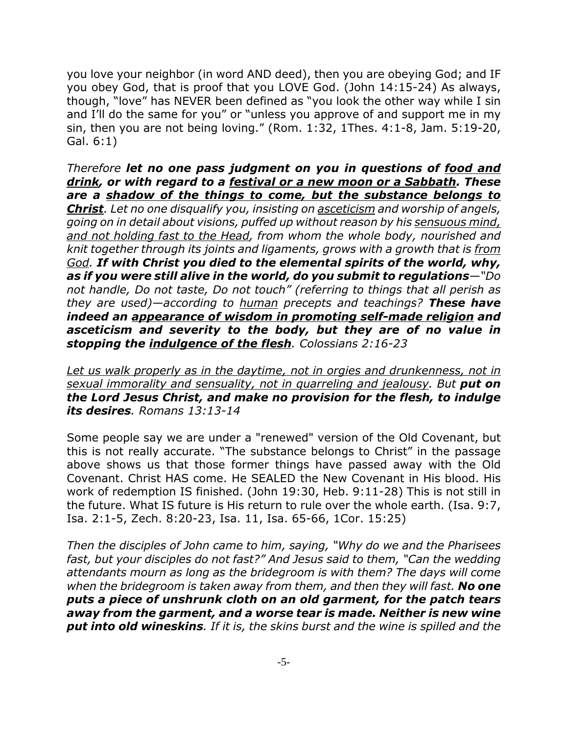you love your neighbor (in word AND deed), then you are obeying God; and IF you obey God, that is proof that you LOVE God. (John 14:15-24) As always, though, "love" has NEVER been defined as "you look the other way while I sin and I'll do the same for you" or "unless you approve of and support me in my sin, then you are not being loving." (Rom. 1:32, 1Thes. 4:1-8, Jam. 5:19-20, Gal. 6:1)

*Therefore let no one pass judgment on you in questions of food and drink, or with regard to a festival or a new moon or a Sabbath. These are a shadow of the things to come, but the substance belongs to Christ. Let no one disqualify you, insisting on asceticism and worship of angels, going on in detail about visions, puffed up without reason by his sensuous mind, and not holding fast to the Head, from whom the whole body, nourished and knit together through its joints and ligaments, grows with a growth that is from God. If with Christ you died to the elemental spirits of the world, why, as if you were still alive in the world, do you submit to regulations—"Do not handle, Do not taste, Do not touch" (referring to things that all perish as they are used)—according to human precepts and teachings? These have indeed an appearance of wisdom in promoting self-made religion and asceticism and severity to the body, but they are of no value in stopping the indulgence of the flesh. Colossians 2:16-23*

*Let us walk properly as in the daytime, not in orgies and drunkenness, not in sexual immorality and sensuality, not in quarreling and jealousy. But put on the Lord Jesus Christ, and make no provision for the flesh, to indulge its desires. Romans 13:13-14*

Some people say we are under a "renewed" version of the Old Covenant, but this is not really accurate. "The substance belongs to Christ" in the passage above shows us that those former things have passed away with the Old Covenant. Christ HAS come. He SEALED the New Covenant in His blood. His work of redemption IS finished. (John 19:30, Heb. 9:11-28) This is not still in the future. What IS future is His return to rule over the whole earth. (Isa. 9:7, Isa. 2:1-5, Zech. 8:20-23, Isa. 11, Isa. 65-66, 1Cor. 15:25)

*Then the disciples of John came to him, saying, "Why do we and the Pharisees fast, but your disciples do not fast?" And Jesus said to them, "Can the wedding attendants mourn as long as the bridegroom is with them? The days will come when the bridegroom is taken away from them, and then they will fast. No one puts a piece of unshrunk cloth on an old garment, for the patch tears away from the garment, and a worse tear is made. Neither is new wine put into old wineskins. If it is, the skins burst and the wine is spilled and the*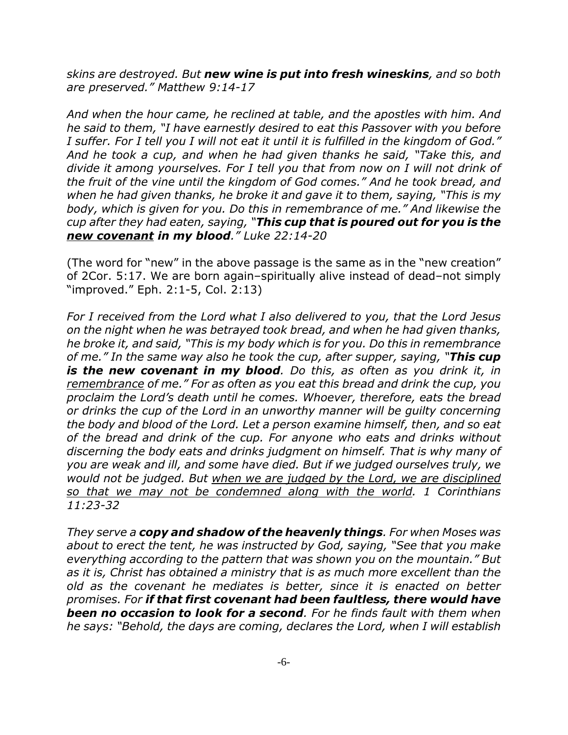*skins are destroyed. But new wine is put into fresh wineskins, and so both are preserved." Matthew 9:14-17*

*And when the hour came, he reclined at table, and the apostles with him. And he said to them, "I have earnestly desired to eat this Passover with you before I suffer. For I tell you I will not eat it until it is fulfilled in the kingdom of God." And he took a cup, and when he had given thanks he said, "Take this, and divide it among yourselves. For I tell you that from now on I will not drink of the fruit of the vine until the kingdom of God comes." And he took bread, and when he had given thanks, he broke it and gave it to them, saying, "This is my body, which is given for you. Do this in remembrance of me." And likewise the cup after they had eaten, saying, "This cup that is poured out for you is the new covenant in my blood." Luke 22:14-20*

(The word for "new" in the above passage is the same as in the "new creation" of 2Cor. 5:17. We are born again–spiritually alive instead of dead–not simply "improved." Eph. 2:1-5, Col. 2:13)

*For I received from the Lord what I also delivered to you, that the Lord Jesus on the night when he was betrayed took bread, and when he had given thanks, he broke it, and said, "This is my body which is for you. Do this in remembrance of me." In the same way also he took the cup, after supper, saying, "This cup is the new covenant in my blood. Do this, as often as you drink it, in remembrance of me." For as often as you eat this bread and drink the cup, you proclaim the Lord's death until he comes. Whoever, therefore, eats the bread or drinks the cup of the Lord in an unworthy manner will be guilty concerning the body and blood of the Lord. Let a person examine himself, then, and so eat of the bread and drink of the cup. For anyone who eats and drinks without discerning the body eats and drinks judgment on himself. That is why many of you are weak and ill, and some have died. But if we judged ourselves truly, we would not be judged. But when we are judged by the Lord, we are disciplined so that we may not be condemned along with the world. 1 Corinthians 11:23-32*

*They serve a copy and shadow of the heavenly things. For when Moses was about to erect the tent, he was instructed by God, saying, "See that you make everything according to the pattern that was shown you on the mountain." But as it is, Christ has obtained a ministry that is as much more excellent than the old as the covenant he mediates is better, since it is enacted on better promises. For if that first covenant had been faultless, there would have been no occasion to look for a second. For he finds fault with them when he says: "Behold, the days are coming, declares the Lord, when I will establish*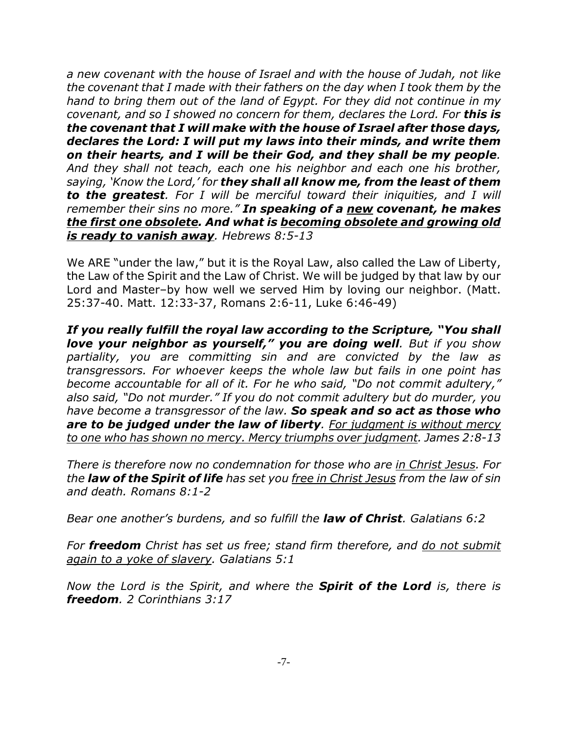*a new covenant with the house of Israel and with the house of Judah, not like the covenant that I made with their fathers on the day when I took them by the hand to bring them out of the land of Egypt. For they did not continue in my covenant, and so I showed no concern for them, declares the Lord. For this is the covenant that I will make with the house of Israel after those days, declares the Lord: I will put my laws into their minds, and write them on their hearts, and I will be their God, and they shall be my people. And they shall not teach, each one his neighbor and each one his brother, saying, 'Know the Lord,' for they shall all know me, from the least of them to the greatest. For I will be merciful toward their iniquities, and I will remember their sins no more." In speaking of a new covenant, he makes the first one obsolete. And what is becoming obsolete and growing old is ready to vanish away. Hebrews 8:5-13*

We ARE "under the law," but it is the Royal Law, also called the Law of Liberty, the Law of the Spirit and the Law of Christ. We will be judged by that law by our Lord and Master–by how well we served Him by loving our neighbor. (Matt. 25:37-40. Matt. 12:33-37, Romans 2:6-11, Luke 6:46-49)

*If you really fulfill the royal law according to the Scripture, "You shall love your neighbor as yourself," you are doing well. But if you show partiality, you are committing sin and are convicted by the law as transgressors. For whoever keeps the whole law but fails in one point has become accountable for all of it. For he who said, "Do not commit adultery," also said, "Do not murder." If you do not commit adultery but do murder, you have become a transgressor of the law. So speak and so act as those who are to be judged under the law of liberty. For judgment is without mercy to one who has shown no mercy. Mercy triumphs over judgment. James 2:8-13*

*There is therefore now no condemnation for those who are in Christ Jesus. For the law of the Spirit of life has set you free in Christ Jesus from the law of sin and death. Romans 8:1-2*

*Bear one another's burdens, and so fulfill the law of Christ. Galatians 6:2*

*For freedom Christ has set us free; stand firm therefore, and do not submit again to a yoke of slavery. Galatians 5:1*

*Now the Lord is the Spirit, and where the Spirit of the Lord is, there is freedom. 2 Corinthians 3:17*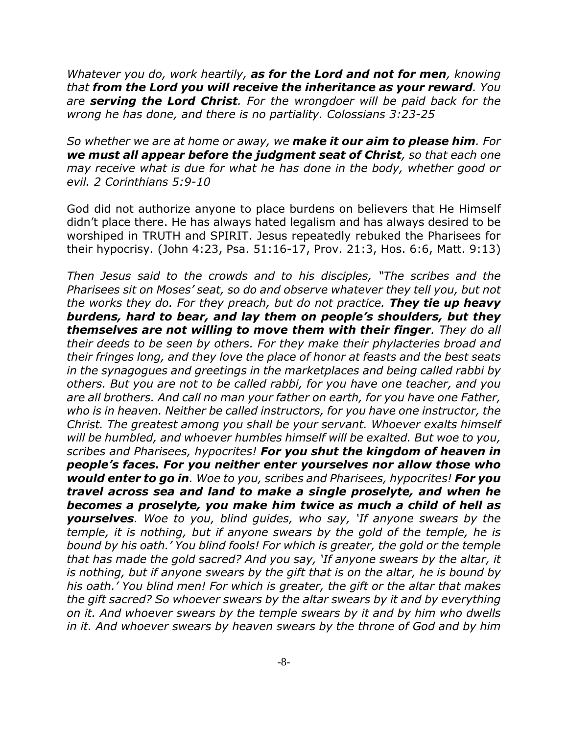*Whatever you do, work heartily, as for the Lord and not for men, knowing that from the Lord you will receive the inheritance as your reward. You are serving the Lord Christ. For the wrongdoer will be paid back for the wrong he has done, and there is no partiality. Colossians 3:23-25*

*So whether we are at home or away, we make it our aim to please him. For we must all appear before the judgment seat of Christ, so that each one may receive what is due for what he has done in the body, whether good or evil. 2 Corinthians 5:9-10*

God did not authorize anyone to place burdens on believers that He Himself didn't place there. He has always hated legalism and has always desired to be worshiped in TRUTH and SPIRIT. Jesus repeatedly rebuked the Pharisees for their hypocrisy. (John 4:23, Psa. 51:16-17, Prov. 21:3, Hos. 6:6, Matt. 9:13)

*Then Jesus said to the crowds and to his disciples, "The scribes and the Pharisees sit on Moses' seat, so do and observe whatever they tell you, but not the works they do. For they preach, but do not practice. They tie up heavy burdens, hard to bear, and lay them on people's shoulders, but they themselves are not willing to move them with their finger. They do all their deeds to be seen by others. For they make their phylacteries broad and their fringes long, and they love the place of honor at feasts and the best seats in the synagogues and greetings in the marketplaces and being called rabbi by others. But you are not to be called rabbi, for you have one teacher, and you are all brothers. And call no man your father on earth, for you have one Father, who is in heaven. Neither be called instructors, for you have one instructor, the Christ. The greatest among you shall be your servant. Whoever exalts himself will be humbled, and whoever humbles himself will be exalted. But woe to you, scribes and Pharisees, hypocrites! For you shut the kingdom of heaven in people's faces. For you neither enter yourselves nor allow those who would enter to go in. Woe to you, scribes and Pharisees, hypocrites! For you travel across sea and land to make a single proselyte, and when he becomes a proselyte, you make him twice as much a child of hell as yourselves. Woe to you, blind guides, who say, 'If anyone swears by the temple, it is nothing, but if anyone swears by the gold of the temple, he is bound by his oath.' You blind fools! For which is greater, the gold or the temple that has made the gold sacred? And you say, 'If anyone swears by the altar, it is nothing, but if anyone swears by the gift that is on the altar, he is bound by his oath.' You blind men! For which is greater, the gift or the altar that makes the gift sacred? So whoever swears by the altar swears by it and by everything on it. And whoever swears by the temple swears by it and by him who dwells in it. And whoever swears by heaven swears by the throne of God and by him*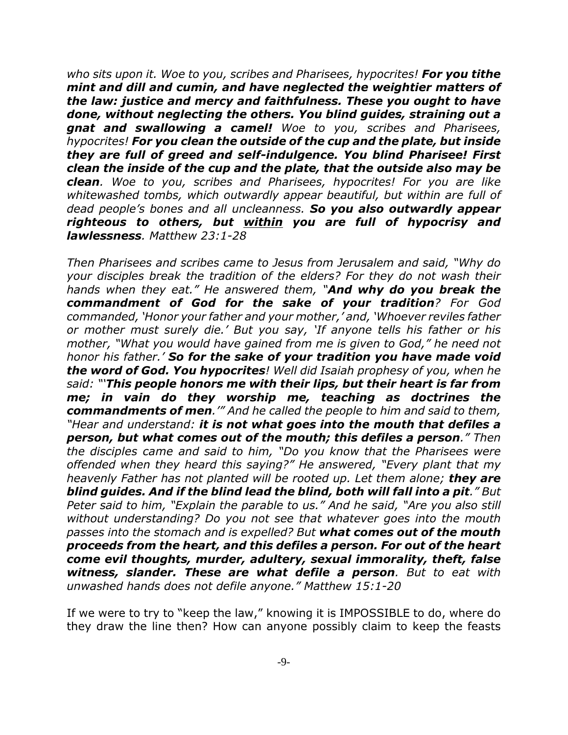*who sits upon it. Woe to you, scribes and Pharisees, hypocrites! For you tithe mint and dill and cumin, and have neglected the weightier matters of the law: justice and mercy and faithfulness. These you ought to have done, without neglecting the others. You blind guides, straining out a gnat and swallowing a camel! Woe to you, scribes and Pharisees, hypocrites! For you clean the outside of the cup and the plate, but inside they are full of greed and self-indulgence. You blind Pharisee! First clean the inside of the cup and the plate, that the outside also may be clean. Woe to you, scribes and Pharisees, hypocrites! For you are like whitewashed tombs, which outwardly appear beautiful, but within are full of dead people's bones and all uncleanness. So you also outwardly appear righteous to others, but within you are full of hypocrisy and lawlessness. Matthew 23:1-28*

*Then Pharisees and scribes came to Jesus from Jerusalem and said, "Why do your disciples break the tradition of the elders? For they do not wash their hands when they eat." He answered them, "And why do you break the commandment of God for the sake of your tradition? For God commanded, 'Honor your father and your mother,' and, 'Whoever reviles father or mother must surely die.' But you say, 'If anyone tells his father or his mother, "What you would have gained from me is given to God," he need not honor his father.' So for the sake of your tradition you have made void the word of God. You hypocrites! Well did Isaiah prophesy of you, when he said: "'This people honors me with their lips, but their heart is far from me; in vain do they worship me, teaching as doctrines the commandments of men.'" And he called the people to him and said to them, "Hear and understand: it is not what goes into the mouth that defiles a person, but what comes out of the mouth; this defiles a person." Then the disciples came and said to him, "Do you know that the Pharisees were offended when they heard this saying?" He answered, "Every plant that my heavenly Father has not planted will be rooted up. Let them alone; they are blind guides. And if the blind lead the blind, both will fall into a pit." But Peter said to him, "Explain the parable to us." And he said, "Are you also still without understanding? Do you not see that whatever goes into the mouth passes into the stomach and is expelled? But what comes out of the mouth proceeds from the heart, and this defiles a person. For out of the heart come evil thoughts, murder, adultery, sexual immorality, theft, false witness, slander. These are what defile a person. But to eat with unwashed hands does not defile anyone." Matthew 15:1-20*

If we were to try to "keep the law," knowing it is IMPOSSIBLE to do, where do they draw the line then? How can anyone possibly claim to keep the feasts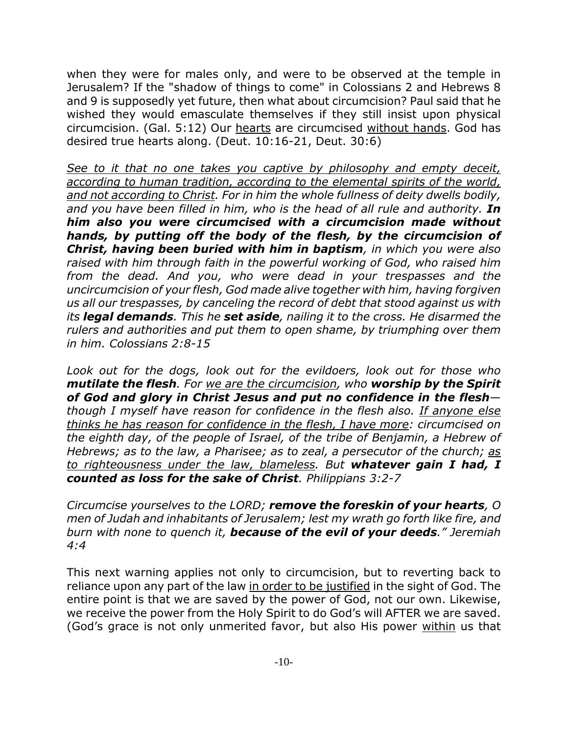when they were for males only, and were to be observed at the temple in Jerusalem? If the "shadow of things to come" in Colossians 2 and Hebrews 8 and 9 is supposedly yet future, then what about circumcision? Paul said that he wished they would emasculate themselves if they still insist upon physical circumcision. (Gal. 5:12) Our hearts are circumcised without hands. God has desired true hearts along. (Deut. 10:16-21, Deut. 30:6)

*See to it that no one takes you captive by philosophy and empty deceit, according to human tradition, according to the elemental spirits of the world, and not according to Christ. For in him the whole fullness of deity dwells bodily, and you have been filled in him, who is the head of all rule and authority. In him also you were circumcised with a circumcision made without hands, by putting off the body of the flesh, by the circumcision of Christ, having been buried with him in baptism, in which you were also raised with him through faith in the powerful working of God, who raised him from the dead. And you, who were dead in your trespasses and the uncircumcision of your flesh, God made alive together with him, having forgiven us all our trespasses, by canceling the record of debt that stood against us with its legal demands. This he set aside, nailing it to the cross. He disarmed the rulers and authorities and put them to open shame, by triumphing over them in him. Colossians 2:8-15*

*Look out for the dogs, look out for the evildoers, look out for those who mutilate the flesh. For we are the circumcision, who worship by the Spirit of God and glory in Christ Jesus and put no confidence in the flesh though I myself have reason for confidence in the flesh also. If anyone else thinks he has reason for confidence in the flesh, I have more: circumcised on the eighth day, of the people of Israel, of the tribe of Benjamin, a Hebrew of Hebrews; as to the law, a Pharisee; as to zeal, a persecutor of the church; as to righteousness under the law, blameless. But whatever gain I had, I counted as loss for the sake of Christ. Philippians 3:2-7*

*Circumcise yourselves to the LORD; remove the foreskin of your hearts, O men of Judah and inhabitants of Jerusalem; lest my wrath go forth like fire, and burn with none to quench it, because of the evil of your deeds." Jeremiah 4:4*

This next warning applies not only to circumcision, but to reverting back to reliance upon any part of the law in order to be justified in the sight of God. The entire point is that we are saved by the power of God, not our own. Likewise, we receive the power from the Holy Spirit to do God's will AFTER we are saved. (God's grace is not only unmerited favor, but also His power within us that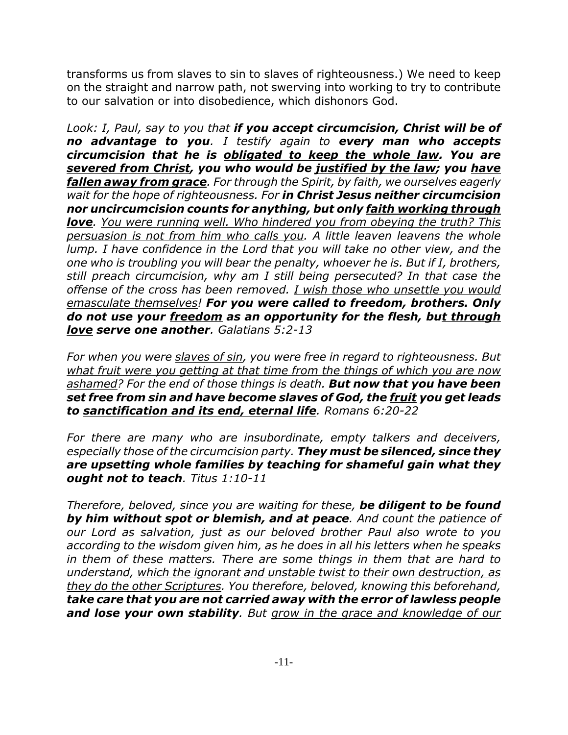transforms us from slaves to sin to slaves of righteousness.) We need to keep on the straight and narrow path, not swerving into working to try to contribute to our salvation or into disobedience, which dishonors God.

*Look: I, Paul, say to you that if you accept circumcision, Christ will be of no advantage to you. I testify again to every man who accepts circumcision that he is obligated to keep the whole law. You are severed from Christ, you who would be justified by the law; you have fallen away from grace. For through the Spirit, by faith, we ourselves eagerly wait for the hope of righteousness. For in Christ Jesus neither circumcision nor uncircumcision counts for anything, but only faith working through love. You were running well. Who hindered you from obeying the truth? This persuasion is not from him who calls you. A little leaven leavens the whole lump. I have confidence in the Lord that you will take no other view, and the one who is troubling you will bear the penalty, whoever he is. But if I, brothers, still preach circumcision, why am I still being persecuted? In that case the offense of the cross has been removed. I wish those who unsettle you would emasculate themselves! For you were called to freedom, brothers. Only do not use your freedom as an opportunity for the flesh, but through love serve one another. Galatians 5:2-13*

*For when you were slaves of sin, you were free in regard to righteousness. But what fruit were you getting at that time from the things of which you are now ashamed? For the end of those things is death. But now that you have been set free from sin and have become slaves of God, the fruit you get leads to sanctification and its end, eternal life. Romans 6:20-22*

*For there are many who are insubordinate, empty talkers and deceivers, especially those of the circumcision party. They must be silenced, since they are upsetting whole families by teaching for shameful gain what they ought not to teach. Titus 1:10-11*

*Therefore, beloved, since you are waiting for these, be diligent to be found by him without spot or blemish, and at peace. And count the patience of our Lord as salvation, just as our beloved brother Paul also wrote to you according to the wisdom given him, as he does in all his letters when he speaks in them of these matters. There are some things in them that are hard to understand, which the ignorant and unstable twist to their own destruction, as they do the other Scriptures. You therefore, beloved, knowing this beforehand, take care that you are not carried away with the error of lawless people and lose your own stability. But grow in the grace and knowledge of our*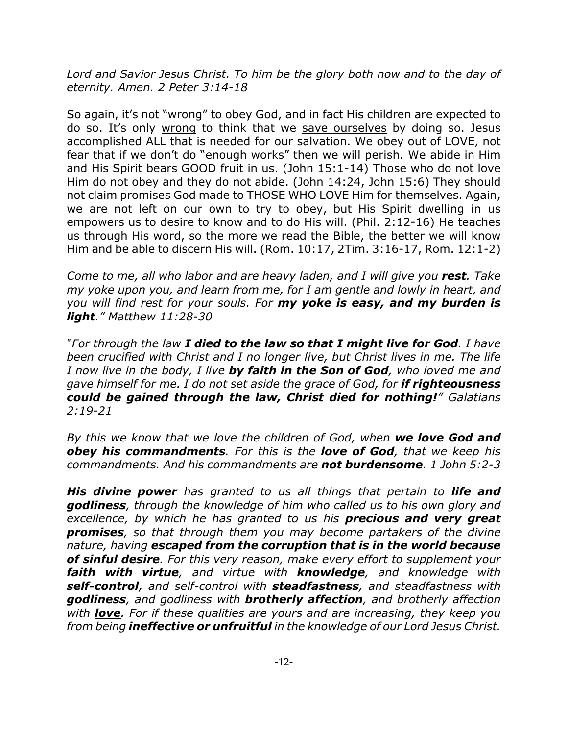*Lord and Savior Jesus Christ. To him be the glory both now and to the day of eternity. Amen. 2 Peter 3:14-18*

So again, it's not "wrong" to obey God, and in fact His children are expected to do so. It's only wrong to think that we save ourselves by doing so. Jesus accomplished ALL that is needed for our salvation. We obey out of LOVE, not fear that if we don't do "enough works" then we will perish. We abide in Him and His Spirit bears GOOD fruit in us. (John 15:1-14) Those who do not love Him do not obey and they do not abide. (John 14:24, John 15:6) They should not claim promises God made to THOSE WHO LOVE Him for themselves. Again, we are not left on our own to try to obey, but His Spirit dwelling in us empowers us to desire to know and to do His will. (Phil. 2:12-16) He teaches us through His word, so the more we read the Bible, the better we will know Him and be able to discern His will. (Rom. 10:17, 2Tim. 3:16-17, Rom. 12:1-2)

*Come to me, all who labor and are heavy laden, and I will give you rest. Take my yoke upon you, and learn from me, for I am gentle and lowly in heart, and you will find rest for your souls. For my yoke is easy, and my burden is light." Matthew 11:28-30*

*"For through the law I died to the law so that I might live for God. I have been crucified with Christ and I no longer live, but Christ lives in me. The life I now live in the body, I live by faith in the Son of God, who loved me and gave himself for me. I do not set aside the grace of God, for if righteousness could be gained through the law, Christ died for nothing!" Galatians 2:19-21*

*By this we know that we love the children of God, when we love God and obey his commandments. For this is the love of God, that we keep his commandments. And his commandments are not burdensome. 1 John 5:2-3*

*His divine power has granted to us all things that pertain to life and godliness, through the knowledge of him who called us to his own glory and excellence, by which he has granted to us his precious and very great promises, so that through them you may become partakers of the divine nature, having escaped from the corruption that is in the world because of sinful desire. For this very reason, make every effort to supplement your faith with virtue, and virtue with knowledge, and knowledge with self-control, and self-control with steadfastness, and steadfastness with godliness, and godliness with brotherly affection, and brotherly affection with love. For if these qualities are yours and are increasing, they keep you from being ineffective or unfruitful in the knowledge of our Lord Jesus Christ.*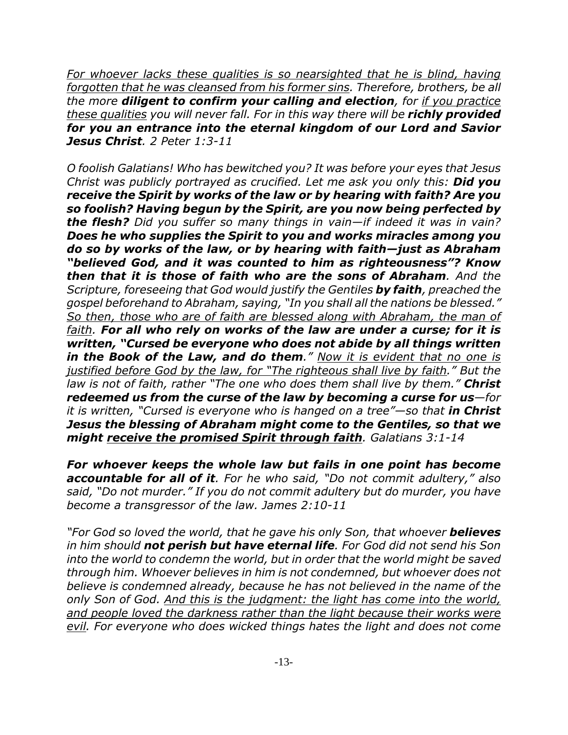*For whoever lacks these qualities is so nearsighted that he is blind, having forgotten that he was cleansed from his former sins. Therefore, brothers, be all the more diligent to confirm your calling and election, for if you practice these qualities you will never fall. For in this way there will be richly provided for you an entrance into the eternal kingdom of our Lord and Savior Jesus Christ. 2 Peter 1:3-11*

*O foolish Galatians! Who has bewitched you? It was before your eyes that Jesus Christ was publicly portrayed as crucified. Let me ask you only this: Did you receive the Spirit by works of the law or by hearing with faith? Are you so foolish? Having begun by the Spirit, are you now being perfected by the flesh? Did you suffer so many things in vain—if indeed it was in vain? Does he who supplies the Spirit to you and works miracles among you do so by works of the law, or by hearing with faith—just as Abraham "believed God, and it was counted to him as righteousness"? Know then that it is those of faith who are the sons of Abraham. And the Scripture, foreseeing that God would justify the Gentiles by faith, preached the gospel beforehand to Abraham, saying, "In you shall all the nations be blessed." So then, those who are of faith are blessed along with Abraham, the man of faith. For all who rely on works of the law are under a curse; for it is written, "Cursed be everyone who does not abide by all things written in the Book of the Law, and do them." Now it is evident that no one is justified before God by the law, for "The righteous shall live by faith." But the law is not of faith, rather "The one who does them shall live by them." Christ redeemed us from the curse of the law by becoming a curse for us—for it is written, "Cursed is everyone who is hanged on a tree"—so that in Christ Jesus the blessing of Abraham might come to the Gentiles, so that we might receive the promised Spirit through faith. Galatians 3:1-14*

*For whoever keeps the whole law but fails in one point has become accountable for all of it. For he who said, "Do not commit adultery," also said, "Do not murder." If you do not commit adultery but do murder, you have become a transgressor of the law. James 2:10-11*

*"For God so loved the world, that he gave his only Son, that whoever believes in him should not perish but have eternal life. For God did not send his Son into the world to condemn the world, but in order that the world might be saved through him. Whoever believes in him is not condemned, but whoever does not believe is condemned already, because he has not believed in the name of the only Son of God. And this is the judgment: the light has come into the world, and people loved the darkness rather than the light because their works were evil. For everyone who does wicked things hates the light and does not come*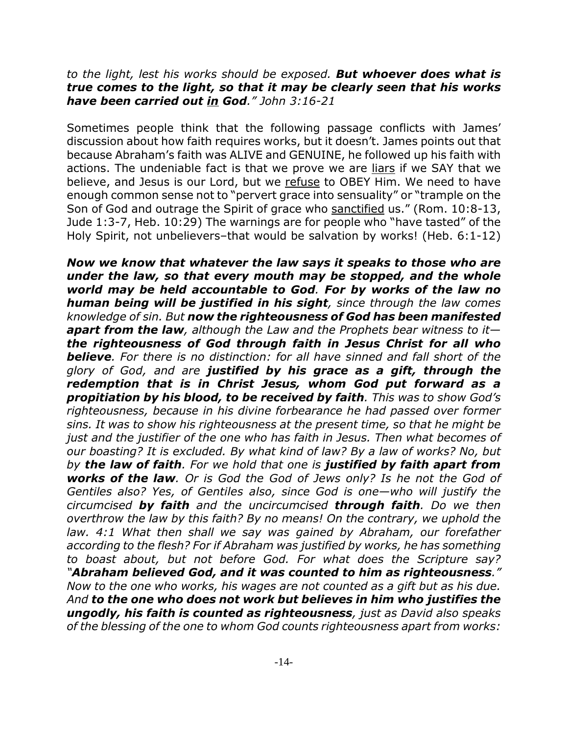### *to the light, lest his works should be exposed. But whoever does what is true comes to the light, so that it may be clearly seen that his works have been carried out in God." John 3:16-21*

Sometimes people think that the following passage conflicts with James' discussion about how faith requires works, but it doesn't. James points out that because Abraham's faith was ALIVE and GENUINE, he followed up his faith with actions. The undeniable fact is that we prove we are liars if we SAY that we believe, and Jesus is our Lord, but we refuse to OBEY Him. We need to have enough common sense not to "pervert grace into sensuality" or "trample on the Son of God and outrage the Spirit of grace who sanctified us." (Rom. 10:8-13, Jude 1:3-7, Heb. 10:29) The warnings are for people who "have tasted" of the Holy Spirit, not unbelievers–that would be salvation by works! (Heb. 6:1-12)

*Now we know that whatever the law says it speaks to those who are under the law, so that every mouth may be stopped, and the whole world may be held accountable to God. For by works of the law no human being will be justified in his sight, since through the law comes knowledge of sin. But now the righteousness of God has been manifested apart from the law, although the Law and the Prophets bear witness to it the righteousness of God through faith in Jesus Christ for all who believe. For there is no distinction: for all have sinned and fall short of the glory of God, and are justified by his grace as a gift, through the redemption that is in Christ Jesus, whom God put forward as a propitiation by his blood, to be received by faith. This was to show God's righteousness, because in his divine forbearance he had passed over former sins. It was to show his righteousness at the present time, so that he might be just and the justifier of the one who has faith in Jesus. Then what becomes of our boasting? It is excluded. By what kind of law? By a law of works? No, but by the law of faith. For we hold that one is justified by faith apart from works of the law. Or is God the God of Jews only? Is he not the God of Gentiles also? Yes, of Gentiles also, since God is one—who will justify the circumcised by faith and the uncircumcised through faith. Do we then overthrow the law by this faith? By no means! On the contrary, we uphold the law. 4:1 What then shall we say was gained by Abraham, our forefather according to the flesh? For if Abraham was justified by works, he has something to boast about, but not before God. For what does the Scripture say? "Abraham believed God, and it was counted to him as righteousness." Now to the one who works, his wages are not counted as a gift but as his due. And to the one who does not work but believes in him who justifies the ungodly, his faith is counted as righteousness, just as David also speaks of the blessing of the one to whom God counts righteousness apart from works:*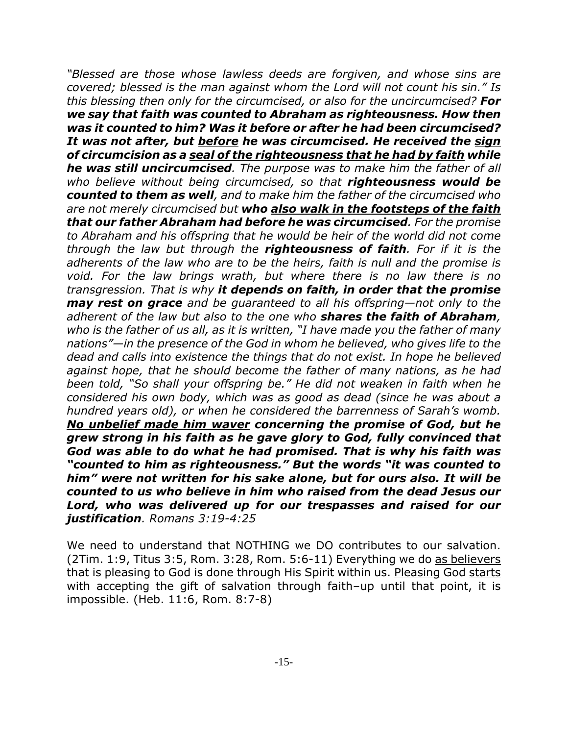*"Blessed are those whose lawless deeds are forgiven, and whose sins are covered; blessed is the man against whom the Lord will not count his sin." Is this blessing then only for the circumcised, or also for the uncircumcised? For we say that faith was counted to Abraham as righteousness. How then was it counted to him? Was it before or after he had been circumcised? It was not after, but before he was circumcised. He received the sign of circumcision as a seal of the righteousness that he had by faith while he was still uncircumcised. The purpose was to make him the father of all who believe without being circumcised, so that righteousness would be counted to them as well, and to make him the father of the circumcised who are not merely circumcised but who also walk in the footsteps of the faith that our father Abraham had before he was circumcised. For the promise to Abraham and his offspring that he would be heir of the world did not come through the law but through the righteousness of faith. For if it is the adherents of the law who are to be the heirs, faith is null and the promise is void. For the law brings wrath, but where there is no law there is no transgression. That is why it depends on faith, in order that the promise may rest on grace and be guaranteed to all his offspring—not only to the adherent of the law but also to the one who shares the faith of Abraham, who is the father of us all, as it is written, "I have made you the father of many nations"—in the presence of the God in whom he believed, who gives life to the dead and calls into existence the things that do not exist. In hope he believed against hope, that he should become the father of many nations, as he had been told, "So shall your offspring be." He did not weaken in faith when he considered his own body, which was as good as dead (since he was about a hundred years old), or when he considered the barrenness of Sarah's womb. No unbelief made him waver concerning the promise of God, but he grew strong in his faith as he gave glory to God, fully convinced that God was able to do what he had promised. That is why his faith was "counted to him as righteousness." But the words "it was counted to him" were not written for his sake alone, but for ours also. It will be counted to us who believe in him who raised from the dead Jesus our Lord, who was delivered up for our trespasses and raised for our justification. Romans 3:19-4:25*

We need to understand that NOTHING we DO contributes to our salvation. (2Tim. 1:9, Titus 3:5, Rom. 3:28, Rom. 5:6-11) Everything we do as believers that is pleasing to God is done through His Spirit within us. Pleasing God starts with accepting the gift of salvation through faith-up until that point, it is impossible. (Heb. 11:6, Rom. 8:7-8)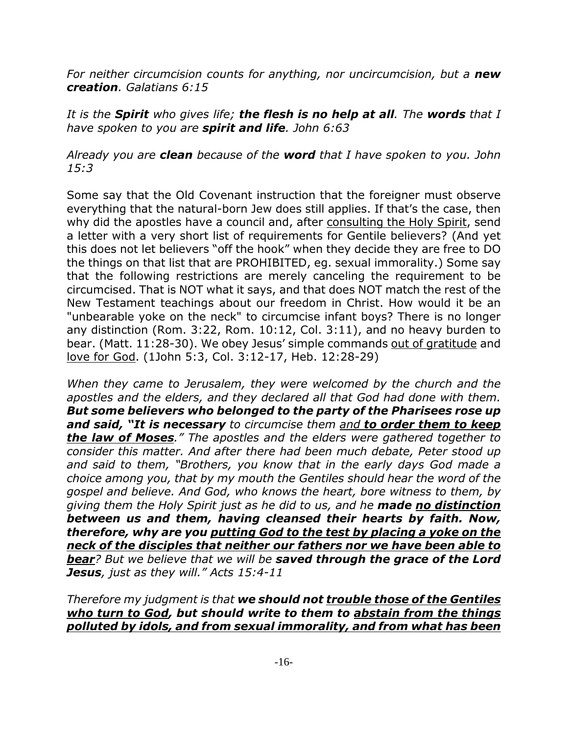*For neither circumcision counts for anything, nor uncircumcision, but a new creation. Galatians 6:15*

# *It is the Spirit who gives life; the flesh is no help at all. The words that I have spoken to you are spirit and life. John 6:63*

# *Already you are clean because of the word that I have spoken to you. John 15:3*

Some say that the Old Covenant instruction that the foreigner must observe everything that the natural-born Jew does still applies. If that's the case, then why did the apostles have a council and, after consulting the Holy Spirit, send a letter with a very short list of requirements for Gentile believers? (And yet this does not let believers "off the hook" when they decide they are free to DO the things on that list that are PROHIBITED, eg. sexual immorality.) Some say that the following restrictions are merely canceling the requirement to be circumcised. That is NOT what it says, and that does NOT match the rest of the New Testament teachings about our freedom in Christ. How would it be an "unbearable yoke on the neck" to circumcise infant boys? There is no longer any distinction (Rom. 3:22, Rom. 10:12, Col. 3:11), and no heavy burden to bear. (Matt. 11:28-30). We obey Jesus' simple commands out of gratitude and love for God. (1John 5:3, Col. 3:12-17, Heb. 12:28-29)

*When they came to Jerusalem, they were welcomed by the church and the apostles and the elders, and they declared all that God had done with them. But some believers who belonged to the party of the Pharisees rose up and said, "It is necessary to circumcise them and to order them to keep the law of Moses." The apostles and the elders were gathered together to consider this matter. And after there had been much debate, Peter stood up and said to them, "Brothers, you know that in the early days God made a choice among you, that by my mouth the Gentiles should hear the word of the gospel and believe. And God, who knows the heart, bore witness to them, by giving them the Holy Spirit just as he did to us, and he made no distinction between us and them, having cleansed their hearts by faith. Now, therefore, why are you putting God to the test by placing a yoke on the neck of the disciples that neither our fathers nor we have been able to bear? But we believe that we will be saved through the grace of the Lord Jesus, just as they will." Acts 15:4-11*

*Therefore my judgment is that we should not trouble those of the Gentiles who turn to God, but should write to them to abstain from the things polluted by idols, and from sexual immorality, and from what has been*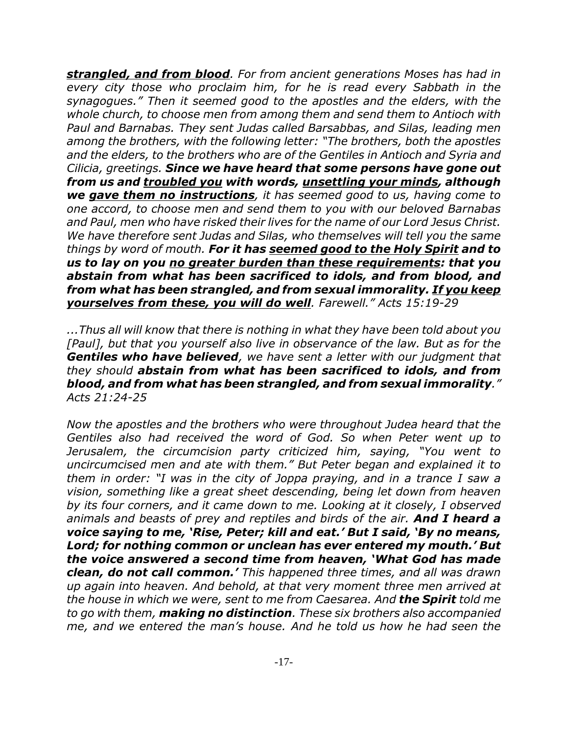*strangled, and from blood. For from ancient generations Moses has had in every city those who proclaim him, for he is read every Sabbath in the synagogues." Then it seemed good to the apostles and the elders, with the whole church, to choose men from among them and send them to Antioch with Paul and Barnabas. They sent Judas called Barsabbas, and Silas, leading men among the brothers, with the following letter: "The brothers, both the apostles and the elders, to the brothers who are of the Gentiles in Antioch and Syria and Cilicia, greetings. Since we have heard that some persons have gone out from us and troubled you with words, unsettling your minds, although we gave them no instructions, it has seemed good to us, having come to one accord, to choose men and send them to you with our beloved Barnabas and Paul, men who have risked their lives for the name of our Lord Jesus Christ. We have therefore sent Judas and Silas, who themselves will tell you the same things by word of mouth. For it has seemed good to the Holy Spirit and to us to lay on you no greater burden than these requirements: that you abstain from what has been sacrificed to idols, and from blood, and from what has been strangled, and from sexual immorality. If you keep yourselves from these, you will do well. Farewell." Acts 15:19-29*

*...Thus all will know that there is nothing in what they have been told about you [Paul], but that you yourself also live in observance of the law. But as for the Gentiles who have believed, we have sent a letter with our judgment that they should abstain from what has been sacrificed to idols, and from blood, and from what has been strangled, and from sexual immorality." Acts 21:24-25*

*Now the apostles and the brothers who were throughout Judea heard that the Gentiles also had received the word of God. So when Peter went up to Jerusalem, the circumcision party criticized him, saying, "You went to uncircumcised men and ate with them." But Peter began and explained it to them in order: "I was in the city of Joppa praying, and in a trance I saw a vision, something like a great sheet descending, being let down from heaven by its four corners, and it came down to me. Looking at it closely, I observed animals and beasts of prey and reptiles and birds of the air. And I heard a voice saying to me, 'Rise, Peter; kill and eat.' But I said, 'By no means, Lord; for nothing common or unclean has ever entered my mouth.' But the voice answered a second time from heaven, 'What God has made clean, do not call common.' This happened three times, and all was drawn up again into heaven. And behold, at that very moment three men arrived at the house in which we were, sent to me from Caesarea. And the Spirit told me to go with them, making no distinction. These six brothers also accompanied me, and we entered the man's house. And he told us how he had seen the*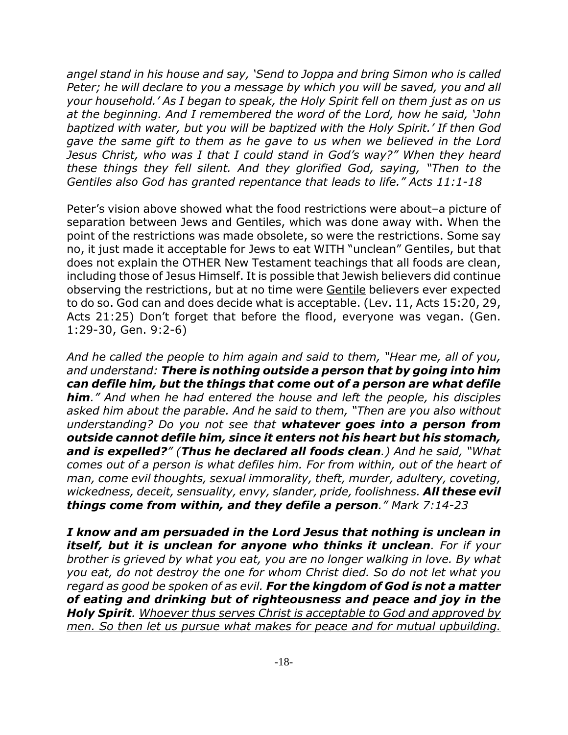*angel stand in his house and say, 'Send to Joppa and bring Simon who is called Peter; he will declare to you a message by which you will be saved, you and all your household.' As I began to speak, the Holy Spirit fell on them just as on us at the beginning. And I remembered the word of the Lord, how he said, 'John baptized with water, but you will be baptized with the Holy Spirit.' If then God gave the same gift to them as he gave to us when we believed in the Lord Jesus Christ, who was I that I could stand in God's way?" When they heard these things they fell silent. And they glorified God, saying, "Then to the Gentiles also God has granted repentance that leads to life." Acts 11:1-18*

Peter's vision above showed what the food restrictions were about–a picture of separation between Jews and Gentiles, which was done away with. When the point of the restrictions was made obsolete, so were the restrictions. Some say no, it just made it acceptable for Jews to eat WITH "unclean" Gentiles, but that does not explain the OTHER New Testament teachings that all foods are clean, including those of Jesus Himself. It is possible that Jewish believers did continue observing the restrictions, but at no time were Gentile believers ever expected to do so. God can and does decide what is acceptable. (Lev. 11, Acts 15:20, 29, Acts 21:25) Don't forget that before the flood, everyone was vegan. (Gen. 1:29-30, Gen. 9:2-6)

*And he called the people to him again and said to them, "Hear me, all of you, and understand: There is nothing outside a person that by going into him can defile him, but the things that come out of a person are what defile him." And when he had entered the house and left the people, his disciples asked him about the parable. And he said to them, "Then are you also without understanding? Do you not see that whatever goes into a person from outside cannot defile him, since it enters not his heart but his stomach, and is expelled?" (Thus he declared all foods clean.) And he said, "What comes out of a person is what defiles him. For from within, out of the heart of man, come evil thoughts, sexual immorality, theft, murder, adultery, coveting, wickedness, deceit, sensuality, envy, slander, pride, foolishness. All these evil things come from within, and they defile a person." Mark 7:14-23*

*I know and am persuaded in the Lord Jesus that nothing is unclean in itself, but it is unclean for anyone who thinks it unclean. For if your brother is grieved by what you eat, you are no longer walking in love. By what you eat, do not destroy the one for whom Christ died. So do not let what you regard as good be spoken of as evil. For the kingdom of God is not a matter of eating and drinking but of righteousness and peace and joy in the Holy Spirit. Whoever thus serves Christ is acceptable to God and approved by men. So then let us pursue what makes for peace and for mutual upbuilding.*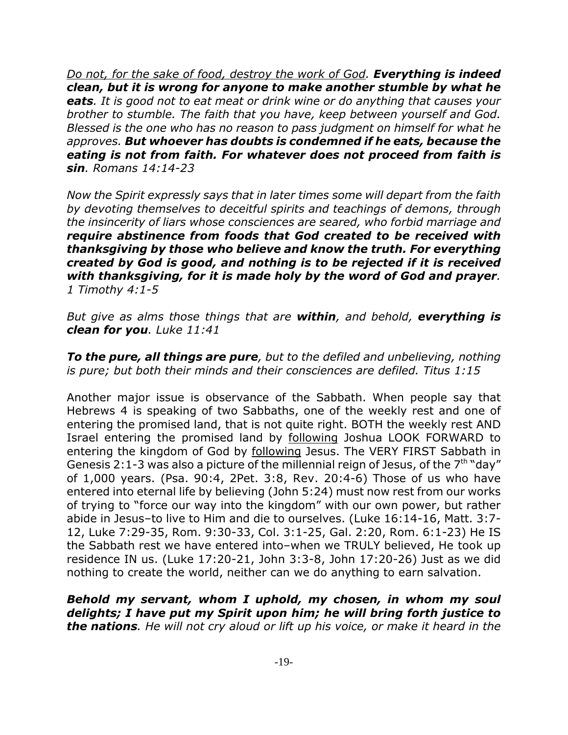*Do not, for the sake of food, destroy the work of God. Everything is indeed clean, but it is wrong for anyone to make another stumble by what he eats. It is good not to eat meat or drink wine or do anything that causes your brother to stumble. The faith that you have, keep between yourself and God. Blessed is the one who has no reason to pass judgment on himself for what he approves. But whoever has doubts is condemned if he eats, because the eating is not from faith. For whatever does not proceed from faith is sin. Romans 14:14-23*

*Now the Spirit expressly says that in later times some will depart from the faith by devoting themselves to deceitful spirits and teachings of demons, through the insincerity of liars whose consciences are seared, who forbid marriage and require abstinence from foods that God created to be received with thanksgiving by those who believe and know the truth. For everything created by God is good, and nothing is to be rejected if it is received with thanksgiving, for it is made holy by the word of God and prayer. 1 Timothy 4:1-5*

*But give as alms those things that are within, and behold, everything is clean for you. Luke 11:41*

*To the pure, all things are pure, but to the defiled and unbelieving, nothing is pure; but both their minds and their consciences are defiled. Titus 1:15*

Another major issue is observance of the Sabbath. When people say that Hebrews 4 is speaking of two Sabbaths, one of the weekly rest and one of entering the promised land, that is not quite right. BOTH the weekly rest AND Israel entering the promised land by following Joshua LOOK FORWARD to entering the kingdom of God by following Jesus. The VERY FIRST Sabbath in Genesis 2:1-3 was also a picture of the millennial reign of Jesus, of the  $7<sup>th</sup>$  "day" of 1,000 years. (Psa. 90:4, 2Pet. 3:8, Rev. 20:4-6) Those of us who have entered into eternal life by believing (John 5:24) must now rest from our works of trying to "force our way into the kingdom" with our own power, but rather abide in Jesus–to live to Him and die to ourselves. (Luke 16:14-16, Matt. 3:7- 12, Luke 7:29-35, Rom. 9:30-33, Col. 3:1-25, Gal. 2:20, Rom. 6:1-23) He IS the Sabbath rest we have entered into–when we TRULY believed, He took up residence IN us. (Luke 17:20-21, John 3:3-8, John 17:20-26) Just as we did nothing to create the world, neither can we do anything to earn salvation.

*Behold my servant, whom I uphold, my chosen, in whom my soul delights; I have put my Spirit upon him; he will bring forth justice to the nations. He will not cry aloud or lift up his voice, or make it heard in the*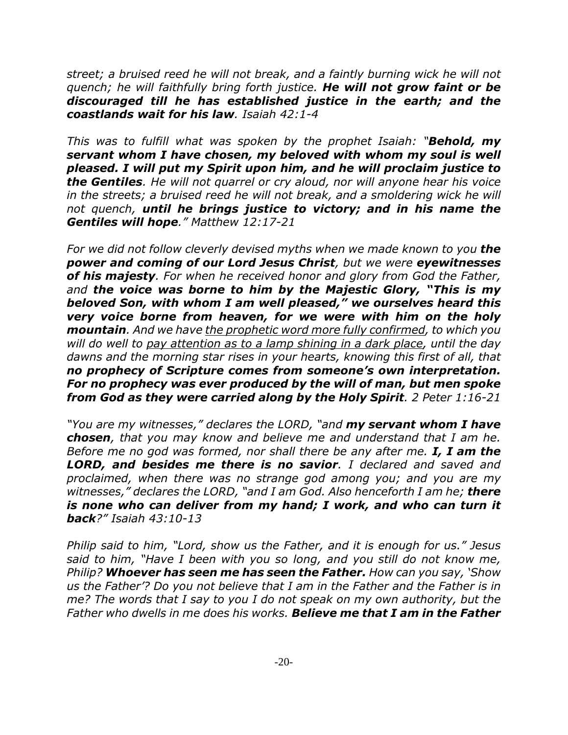*street; a bruised reed he will not break, and a faintly burning wick he will not quench; he will faithfully bring forth justice. He will not grow faint or be discouraged till he has established justice in the earth; and the coastlands wait for his law. Isaiah 42:1-4*

*This was to fulfill what was spoken by the prophet Isaiah: "Behold, my servant whom I have chosen, my beloved with whom my soul is well pleased. I will put my Spirit upon him, and he will proclaim justice to the Gentiles. He will not quarrel or cry aloud, nor will anyone hear his voice in the streets; a bruised reed he will not break, and a smoldering wick he will not quench, until he brings justice to victory; and in his name the Gentiles will hope." Matthew 12:17-21*

*For we did not follow cleverly devised myths when we made known to you the power and coming of our Lord Jesus Christ, but we were eyewitnesses of his majesty. For when he received honor and glory from God the Father, and the voice was borne to him by the Majestic Glory, "This is my beloved Son, with whom I am well pleased," we ourselves heard this very voice borne from heaven, for we were with him on the holy mountain. And we have the prophetic word more fully confirmed, to which you will do well to pay attention as to a lamp shining in a dark place, until the day dawns and the morning star rises in your hearts, knowing this first of all, that no prophecy of Scripture comes from someone's own interpretation. For no prophecy was ever produced by the will of man, but men spoke from God as they were carried along by the Holy Spirit. 2 Peter 1:16-21*

*"You are my witnesses," declares the LORD, "and my servant whom I have chosen, that you may know and believe me and understand that I am he. Before me no god was formed, nor shall there be any after me. I, I am the LORD, and besides me there is no savior. I declared and saved and proclaimed, when there was no strange god among you; and you are my witnesses," declares the LORD, "and I am God. Also henceforth I am he; there is none who can deliver from my hand; I work, and who can turn it back?" Isaiah 43:10-13*

*Philip said to him, "Lord, show us the Father, and it is enough for us." Jesus said to him, "Have I been with you so long, and you still do not know me, Philip? Whoever has seen me has seen the Father. How can you say, 'Show us the Father'? Do you not believe that I am in the Father and the Father is in me? The words that I say to you I do not speak on my own authority, but the Father who dwells in me does his works. Believe me that I am in the Father*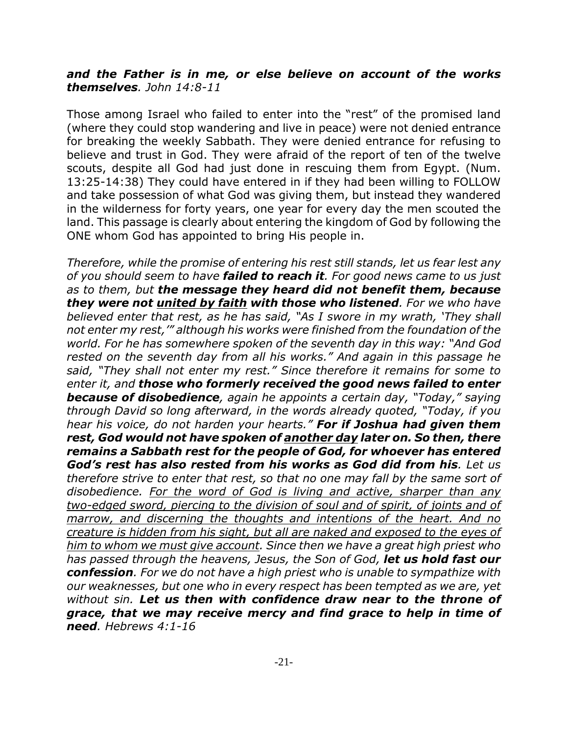### *and the Father is in me, or else believe on account of the works themselves. John 14:8-11*

Those among Israel who failed to enter into the "rest" of the promised land (where they could stop wandering and live in peace) were not denied entrance for breaking the weekly Sabbath. They were denied entrance for refusing to believe and trust in God. They were afraid of the report of ten of the twelve scouts, despite all God had just done in rescuing them from Egypt. (Num. 13:25-14:38) They could have entered in if they had been willing to FOLLOW and take possession of what God was giving them, but instead they wandered in the wilderness for forty years, one year for every day the men scouted the land. This passage is clearly about entering the kingdom of God by following the ONE whom God has appointed to bring His people in.

*Therefore, while the promise of entering his rest still stands, let us fear lest any of you should seem to have failed to reach it. For good news came to us just as to them, but the message they heard did not benefit them, because they were not united by faith with those who listened. For we who have believed enter that rest, as he has said, "As I swore in my wrath, 'They shall not enter my rest,'" although his works were finished from the foundation of the world. For he has somewhere spoken of the seventh day in this way: "And God rested on the seventh day from all his works." And again in this passage he said, "They shall not enter my rest." Since therefore it remains for some to enter it, and those who formerly received the good news failed to enter because of disobedience, again he appoints a certain day, "Today," saying through David so long afterward, in the words already quoted, "Today, if you hear his voice, do not harden your hearts." For if Joshua had given them rest, God would not have spoken of another day later on. So then, there remains a Sabbath rest for the people of God, for whoever has entered God's rest has also rested from his works as God did from his. Let us therefore strive to enter that rest, so that no one may fall by the same sort of disobedience. For the word of God is living and active, sharper than any two-edged sword, piercing to the division of soul and of spirit, of joints and of marrow, and discerning the thoughts and intentions of the heart. And no creature is hidden from his sight, but all are naked and exposed to the eyes of him to whom we must give account. Since then we have a great high priest who has passed through the heavens, Jesus, the Son of God, let us hold fast our confession. For we do not have a high priest who is unable to sympathize with our weaknesses, but one who in every respect has been tempted as we are, yet without sin. Let us then with confidence draw near to the throne of grace, that we may receive mercy and find grace to help in time of need. Hebrews 4:1-16*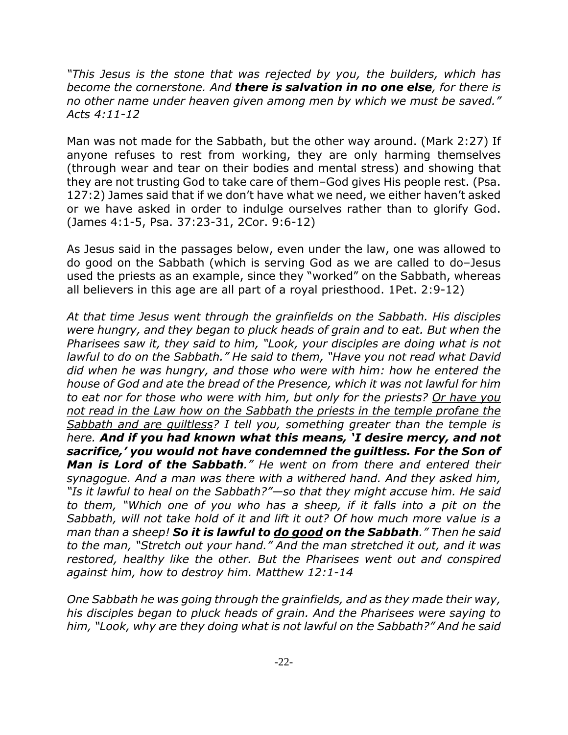*"This Jesus is the stone that was rejected by you, the builders, which has become the cornerstone. And there is salvation in no one else, for there is no other name under heaven given among men by which we must be saved." Acts 4:11-12*

Man was not made for the Sabbath, but the other way around. (Mark 2:27) If anyone refuses to rest from working, they are only harming themselves (through wear and tear on their bodies and mental stress) and showing that they are not trusting God to take care of them–God gives His people rest. (Psa. 127:2) James said that if we don't have what we need, we either haven't asked or we have asked in order to indulge ourselves rather than to glorify God. (James 4:1-5, Psa. 37:23-31, 2Cor. 9:6-12)

As Jesus said in the passages below, even under the law, one was allowed to do good on the Sabbath (which is serving God as we are called to do–Jesus used the priests as an example, since they "worked" on the Sabbath, whereas all believers in this age are all part of a royal priesthood. 1Pet. 2:9-12)

*At that time Jesus went through the grainfields on the Sabbath. His disciples were hungry, and they began to pluck heads of grain and to eat. But when the Pharisees saw it, they said to him, "Look, your disciples are doing what is not lawful to do on the Sabbath." He said to them, "Have you not read what David did when he was hungry, and those who were with him: how he entered the house of God and ate the bread of the Presence, which it was not lawful for him to eat nor for those who were with him, but only for the priests? Or have you not read in the Law how on the Sabbath the priests in the temple profane the Sabbath and are guiltless? I tell you, something greater than the temple is here. And if you had known what this means, 'I desire mercy, and not sacrifice,' you would not have condemned the guiltless. For the Son of Man is Lord of the Sabbath." He went on from there and entered their synagogue. And a man was there with a withered hand. And they asked him, "Is it lawful to heal on the Sabbath?"—so that they might accuse him. He said to them, "Which one of you who has a sheep, if it falls into a pit on the Sabbath, will not take hold of it and lift it out? Of how much more value is a man than a sheep! So it is lawful to do good on the Sabbath." Then he said to the man, "Stretch out your hand." And the man stretched it out, and it was restored, healthy like the other. But the Pharisees went out and conspired against him, how to destroy him. Matthew 12:1-14*

*One Sabbath he was going through the grainfields, and as they made their way, his disciples began to pluck heads of grain. And the Pharisees were saying to him, "Look, why are they doing what is not lawful on the Sabbath?" And he said*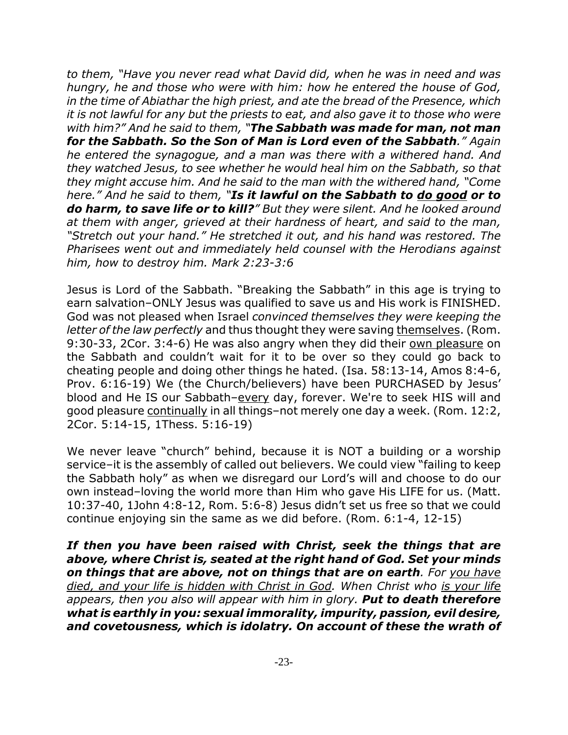*to them, "Have you never read what David did, when he was in need and was hungry, he and those who were with him: how he entered the house of God, in the time of Abiathar the high priest, and ate the bread of the Presence, which it is not lawful for any but the priests to eat, and also gave it to those who were with him?" And he said to them, "The Sabbath was made for man, not man for the Sabbath. So the Son of Man is Lord even of the Sabbath." Again he entered the synagogue, and a man was there with a withered hand. And they watched Jesus, to see whether he would heal him on the Sabbath, so that they might accuse him. And he said to the man with the withered hand, "Come here." And he said to them, "Is it lawful on the Sabbath to do good or to do harm, to save life or to kill?" But they were silent. And he looked around at them with anger, grieved at their hardness of heart, and said to the man, "Stretch out your hand." He stretched it out, and his hand was restored. The Pharisees went out and immediately held counsel with the Herodians against him, how to destroy him. Mark 2:23-3:6*

Jesus is Lord of the Sabbath. "Breaking the Sabbath" in this age is trying to earn salvation–ONLY Jesus was qualified to save us and His work is FINISHED. God was not pleased when Israel *convinced themselves they were keeping the letter of the law perfectly* and thus thought they were saving themselves. (Rom. 9:30-33, 2Cor. 3:4-6) He was also angry when they did their own pleasure on the Sabbath and couldn't wait for it to be over so they could go back to cheating people and doing other things he hated. (Isa. 58:13-14, Amos 8:4-6, Prov. 6:16-19) We (the Church/believers) have been PURCHASED by Jesus' blood and He IS our Sabbath–every day, forever. We're to seek HIS will and good pleasure continually in all things–not merely one day a week. (Rom. 12:2, 2Cor. 5:14-15, 1Thess. 5:16-19)

We never leave "church" behind, because it is NOT a building or a worship service–it is the assembly of called out believers. We could view "failing to keep the Sabbath holy" as when we disregard our Lord's will and choose to do our own instead–loving the world more than Him who gave His LIFE for us. (Matt. 10:37-40, 1John 4:8-12, Rom. 5:6-8) Jesus didn't set us free so that we could continue enjoying sin the same as we did before. (Rom. 6:1-4, 12-15)

*If then you have been raised with Christ, seek the things that are above, where Christ is, seated at the right hand of God. Set your minds on things that are above, not on things that are on earth. For you have died, and your life is hidden with Christ in God. When Christ who is your life appears, then you also will appear with him in glory. Put to death therefore what is earthly in you: sexual immorality, impurity, passion, evil desire, and covetousness, which is idolatry. On account of these the wrath of*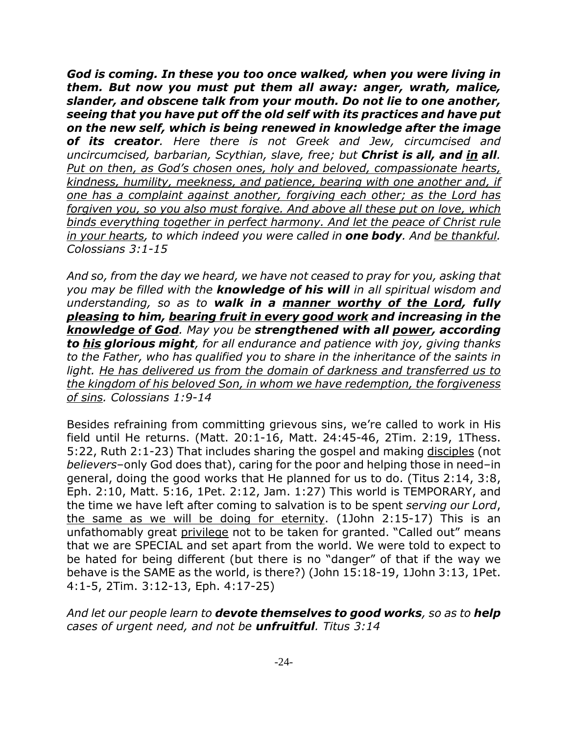*God is coming. In these you too once walked, when you were living in them. But now you must put them all away: anger, wrath, malice, slander, and obscene talk from your mouth. Do not lie to one another, seeing that you have put off the old self with its practices and have put on the new self, which is being renewed in knowledge after the image of its creator. Here there is not Greek and Jew, circumcised and uncircumcised, barbarian, Scythian, slave, free; but Christ is all, and in all. Put on then, as God's chosen ones, holy and beloved, compassionate hearts, kindness, humility, meekness, and patience, bearing with one another and, if one has a complaint against another, forgiving each other; as the Lord has forgiven you, so you also must forgive. And above all these put on love, which binds everything together in perfect harmony. And let the peace of Christ rule in your hearts, to which indeed you were called in one body. And be thankful. Colossians 3:1-15*

*And so, from the day we heard, we have not ceased to pray for you, asking that you may be filled with the knowledge of his will in all spiritual wisdom and understanding, so as to walk in a manner worthy of the Lord, fully pleasing to him, bearing fruit in every good work and increasing in the knowledge of God. May you be strengthened with all power, according to his glorious might, for all endurance and patience with joy, giving thanks to the Father, who has qualified you to share in the inheritance of the saints in light. He has delivered us from the domain of darkness and transferred us to the kingdom of his beloved Son, in whom we have redemption, the forgiveness of sins. Colossians 1:9-14*

Besides refraining from committing grievous sins, we're called to work in His field until He returns. (Matt. 20:1-16, Matt. 24:45-46, 2Tim. 2:19, 1Thess. 5:22, Ruth 2:1-23) That includes sharing the gospel and making disciples (not *believers*–only God does that), caring for the poor and helping those in need–in general, doing the good works that He planned for us to do. (Titus 2:14, 3:8, Eph. 2:10, Matt. 5:16, 1Pet. 2:12, Jam. 1:27) This world is TEMPORARY, and the time we have left after coming to salvation is to be spent *serving our Lord*, the same as we will be doing for eternity. (1John 2:15-17) This is an unfathomably great privilege not to be taken for granted. "Called out" means that we are SPECIAL and set apart from the world. We were told to expect to be hated for being different (but there is no "danger" of that if the way we behave is the SAME as the world, is there?) (John 15:18-19, 1John 3:13, 1Pet. 4:1-5, 2Tim. 3:12-13, Eph. 4:17-25)

*And let our people learn to devote themselves to good works, so as to help cases of urgent need, and not be unfruitful. Titus 3:14*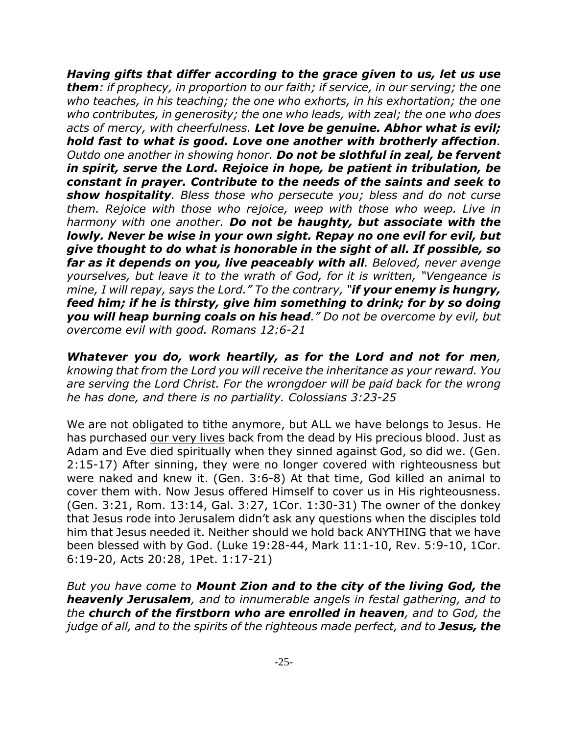*Having gifts that differ according to the grace given to us, let us use them: if prophecy, in proportion to our faith; if service, in our serving; the one who teaches, in his teaching; the one who exhorts, in his exhortation; the one who contributes, in generosity; the one who leads, with zeal; the one who does acts of mercy, with cheerfulness. Let love be genuine. Abhor what is evil; hold fast to what is good. Love one another with brotherly affection. Outdo one another in showing honor. Do not be slothful in zeal, be fervent in spirit, serve the Lord. Rejoice in hope, be patient in tribulation, be constant in prayer. Contribute to the needs of the saints and seek to show hospitality. Bless those who persecute you; bless and do not curse them. Rejoice with those who rejoice, weep with those who weep. Live in harmony with one another. Do not be haughty, but associate with the lowly. Never be wise in your own sight. Repay no one evil for evil, but give thought to do what is honorable in the sight of all. If possible, so far as it depends on you, live peaceably with all. Beloved, never avenge yourselves, but leave it to the wrath of God, for it is written, "Vengeance is mine, I will repay, says the Lord." To the contrary, "if your enemy is hungry, feed him; if he is thirsty, give him something to drink; for by so doing you will heap burning coals on his head." Do not be overcome by evil, but overcome evil with good. Romans 12:6-21*

*Whatever you do, work heartily, as for the Lord and not for men, knowing that from the Lord you will receive the inheritance as your reward. You are serving the Lord Christ. For the wrongdoer will be paid back for the wrong he has done, and there is no partiality. Colossians 3:23-25*

We are not obligated to tithe anymore, but ALL we have belongs to Jesus. He has purchased our very lives back from the dead by His precious blood. Just as Adam and Eve died spiritually when they sinned against God, so did we. (Gen. 2:15-17) After sinning, they were no longer covered with righteousness but were naked and knew it. (Gen. 3:6-8) At that time, God killed an animal to cover them with. Now Jesus offered Himself to cover us in His righteousness. (Gen. 3:21, Rom. 13:14, Gal. 3:27, 1Cor. 1:30-31) The owner of the donkey that Jesus rode into Jerusalem didn't ask any questions when the disciples told him that Jesus needed it. Neither should we hold back ANYTHING that we have been blessed with by God. (Luke 19:28-44, Mark 11:1-10, Rev. 5:9-10, 1Cor. 6:19-20, Acts 20:28, 1Pet. 1:17-21)

*But you have come to Mount Zion and to the city of the living God, the heavenly Jerusalem, and to innumerable angels in festal gathering, and to the church of the firstborn who are enrolled in heaven, and to God, the judge of all, and to the spirits of the righteous made perfect, and to Jesus, the*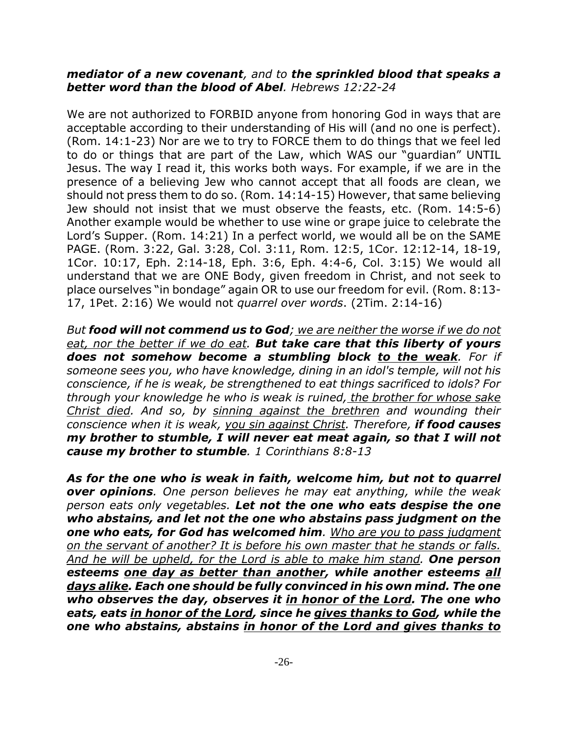### *mediator of a new covenant, and to the sprinkled blood that speaks a better word than the blood of Abel. Hebrews 12:22-24*

We are not authorized to FORBID anyone from honoring God in ways that are acceptable according to their understanding of His will (and no one is perfect). (Rom. 14:1-23) Nor are we to try to FORCE them to do things that we feel led to do or things that are part of the Law, which WAS our "guardian" UNTIL Jesus. The way I read it, this works both ways. For example, if we are in the presence of a believing Jew who cannot accept that all foods are clean, we should not press them to do so. (Rom. 14:14-15) However, that same believing Jew should not insist that we must observe the feasts, etc. (Rom. 14:5-6) Another example would be whether to use wine or grape juice to celebrate the Lord's Supper. (Rom. 14:21) In a perfect world, we would all be on the SAME PAGE. (Rom. 3:22, Gal. 3:28, Col. 3:11, Rom. 12:5, 1Cor. 12:12-14, 18-19, 1Cor. 10:17, Eph. 2:14-18, Eph. 3:6, Eph. 4:4-6, Col. 3:15) We would all understand that we are ONE Body, given freedom in Christ, and not seek to place ourselves "in bondage" again OR to use our freedom for evil. (Rom. 8:13- 17, 1Pet. 2:16) We would not *quarrel over words*. (2Tim. 2:14-16)

*But food will not commend us to God; we are neither the worse if we do not eat, nor the better if we do eat. But take care that this liberty of yours does not somehow become a stumbling block to the weak. For if someone sees you, who have knowledge, dining in an idol's temple, will not his conscience, if he is weak, be strengthened to eat things sacrificed to idols? For through your knowledge he who is weak is ruined, the brother for whose sake Christ died. And so, by sinning against the brethren and wounding their conscience when it is weak, you sin against Christ. Therefore, if food causes my brother to stumble, I will never eat meat again, so that I will not cause my brother to stumble. 1 Corinthians 8:8-13*

*As for the one who is weak in faith, welcome him, but not to quarrel over opinions. One person believes he may eat anything, while the weak person eats only vegetables. Let not the one who eats despise the one who abstains, and let not the one who abstains pass judgment on the one who eats, for God has welcomed him. Who are you to pass judgment on the servant of another? It is before his own master that he stands or falls. And he will be upheld, for the Lord is able to make him stand. One person esteems one day as better than another, while another esteems all days alike. Each one should be fully convinced in his own mind. The one who observes the day, observes it in honor of the Lord. The one who eats, eats in honor of the Lord, since he gives thanks to God, while the one who abstains, abstains in honor of the Lord and gives thanks to*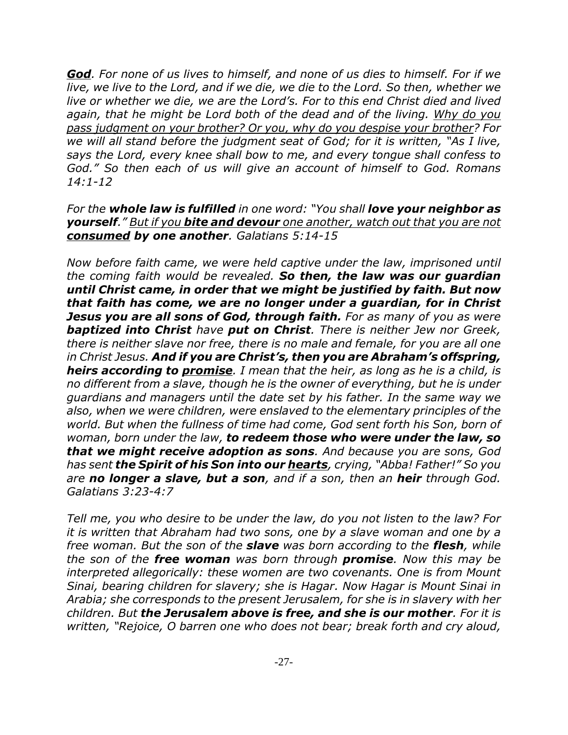*God. For none of us lives to himself, and none of us dies to himself. For if we live, we live to the Lord, and if we die, we die to the Lord. So then, whether we live or whether we die, we are the Lord's. For to this end Christ died and lived again, that he might be Lord both of the dead and of the living. Why do you pass judgment on your brother? Or you, why do you despise your brother? For we will all stand before the judgment seat of God; for it is written, "As I live, says the Lord, every knee shall bow to me, and every tongue shall confess to God." So then each of us will give an account of himself to God. Romans 14:1-12*

*For the whole law is fulfilled in one word: "You shall love your neighbor as yourself." But if you bite and devour one another, watch out that you are not consumed by one another. Galatians 5:14-15*

*Now before faith came, we were held captive under the law, imprisoned until the coming faith would be revealed. So then, the law was our guardian until Christ came, in order that we might be justified by faith. But now that faith has come, we are no longer under a guardian, for in Christ Jesus you are all sons of God, through faith. For as many of you as were baptized into Christ have put on Christ. There is neither Jew nor Greek, there is neither slave nor free, there is no male and female, for you are all one in Christ Jesus. And if you are Christ's, then you are Abraham's offspring, heirs according to promise. I mean that the heir, as long as he is a child, is no different from a slave, though he is the owner of everything, but he is under guardians and managers until the date set by his father. In the same way we also, when we were children, were enslaved to the elementary principles of the world. But when the fullness of time had come, God sent forth his Son, born of woman, born under the law, to redeem those who were under the law, so that we might receive adoption as sons. And because you are sons, God has sent the Spirit of his Son into our hearts, crying, "Abba! Father!" So you are no longer a slave, but a son, and if a son, then an heir through God. Galatians 3:23-4:7*

*Tell me, you who desire to be under the law, do you not listen to the law? For it is written that Abraham had two sons, one by a slave woman and one by a free woman. But the son of the slave was born according to the flesh, while the son of the free woman was born through promise. Now this may be interpreted allegorically: these women are two covenants. One is from Mount Sinai, bearing children for slavery; she is Hagar. Now Hagar is Mount Sinai in Arabia; she corresponds to the present Jerusalem, for she is in slavery with her children. But the Jerusalem above is free, and she is our mother. For it is written, "Rejoice, O barren one who does not bear; break forth and cry aloud,*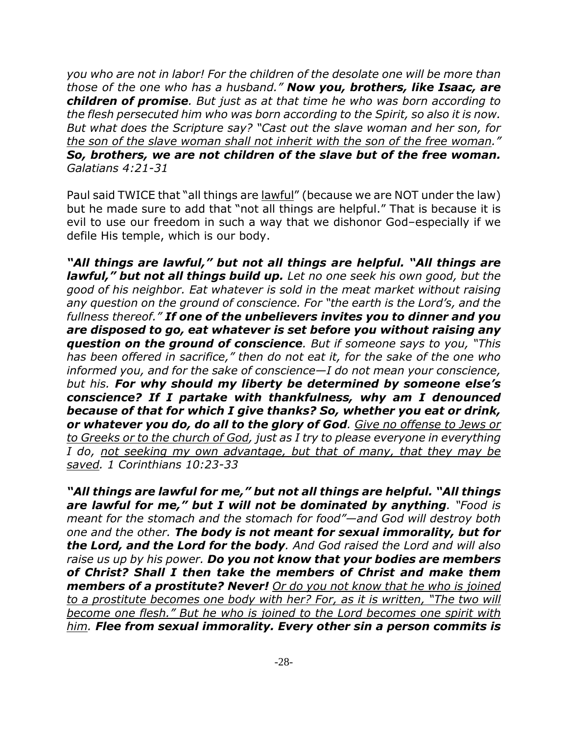*you who are not in labor! For the children of the desolate one will be more than those of the one who has a husband." Now you, brothers, like Isaac, are children of promise. But just as at that time he who was born according to the flesh persecuted him who was born according to the Spirit, so also it is now. But what does the Scripture say? "Cast out the slave woman and her son, for the son of the slave woman shall not inherit with the son of the free woman." So, brothers, we are not children of the slave but of the free woman. Galatians 4:21-31*

Paul said TWICE that "all things are lawful" (because we are NOT under the law) but he made sure to add that "not all things are helpful." That is because it is evil to use our freedom in such a way that we dishonor God–especially if we defile His temple, which is our body.

*"All things are lawful," but not all things are helpful. "All things are lawful," but not all things build up. Let no one seek his own good, but the good of his neighbor. Eat whatever is sold in the meat market without raising any question on the ground of conscience. For "the earth is the Lord's, and the fullness thereof." If one of the unbelievers invites you to dinner and you are disposed to go, eat whatever is set before you without raising any question on the ground of conscience. But if someone says to you, "This has been offered in sacrifice," then do not eat it, for the sake of the one who informed you, and for the sake of conscience—I do not mean your conscience, but his. For why should my liberty be determined by someone else's conscience? If I partake with thankfulness, why am I denounced because of that for which I give thanks? So, whether you eat or drink, or whatever you do, do all to the glory of God. Give no offense to Jews or to Greeks or to the church of God, just as I try to please everyone in everything I do, not seeking my own advantage, but that of many, that they may be saved. 1 Corinthians 10:23-33*

*"All things are lawful for me," but not all things are helpful. "All things are lawful for me," but I will not be dominated by anything. "Food is meant for the stomach and the stomach for food"—and God will destroy both one and the other. The body is not meant for sexual immorality, but for the Lord, and the Lord for the body. And God raised the Lord and will also raise us up by his power. Do you not know that your bodies are members of Christ? Shall I then take the members of Christ and make them members of a prostitute? Never! Or do you not know that he who is joined to a prostitute becomes one body with her? For, as it is written, "The two will become one flesh." But he who is joined to the Lord becomes one spirit with him. Flee from sexual immorality. Every other sin a person commits is*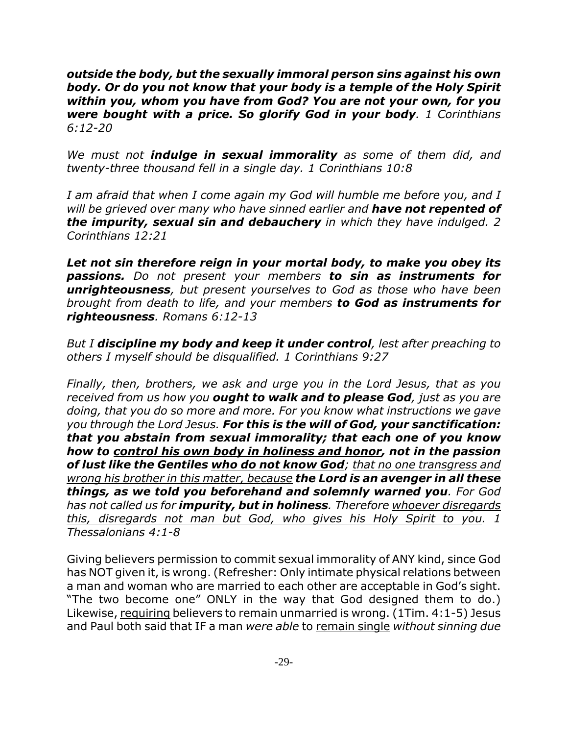*outside the body, but the sexually immoral person sins against his own body. Or do you not know that your body is a temple of the Holy Spirit within you, whom you have from God? You are not your own, for you were bought with a price. So glorify God in your body. 1 Corinthians 6:12-20*

*We must not indulge in sexual immorality as some of them did, and twenty-three thousand fell in a single day. 1 Corinthians 10:8*

*I am afraid that when I come again my God will humble me before you, and I will be grieved over many who have sinned earlier and have not repented of the impurity, sexual sin and debauchery in which they have indulged. 2 Corinthians 12:21*

*Let not sin therefore reign in your mortal body, to make you obey its passions. Do not present your members to sin as instruments for unrighteousness, but present yourselves to God as those who have been brought from death to life, and your members to God as instruments for righteousness. Romans 6:12-13*

*But I discipline my body and keep it under control, lest after preaching to others I myself should be disqualified. 1 Corinthians 9:27*

*Finally, then, brothers, we ask and urge you in the Lord Jesus, that as you received from us how you ought to walk and to please God, just as you are doing, that you do so more and more. For you know what instructions we gave you through the Lord Jesus. For this is the will of God, your sanctification: that you abstain from sexual immorality; that each one of you know how to control his own body in holiness and honor, not in the passion of lust like the Gentiles who do not know God; that no one transgress and wrong his brother in this matter, because the Lord is an avenger in all these things, as we told you beforehand and solemnly warned you. For God has not called us for impurity, but in holiness. Therefore whoever disregards this, disregards not man but God, who gives his Holy Spirit to you. 1 Thessalonians 4:1-8*

Giving believers permission to commit sexual immorality of ANY kind, since God has NOT given it, is wrong. (Refresher: Only intimate physical relations between a man and woman who are married to each other are acceptable in God's sight. "The two become one" ONLY in the way that God designed them to do.) Likewise, requiring believers to remain unmarried is wrong. (1Tim. 4:1-5) Jesus and Paul both said that IF a man *were able* to remain single *without sinning due*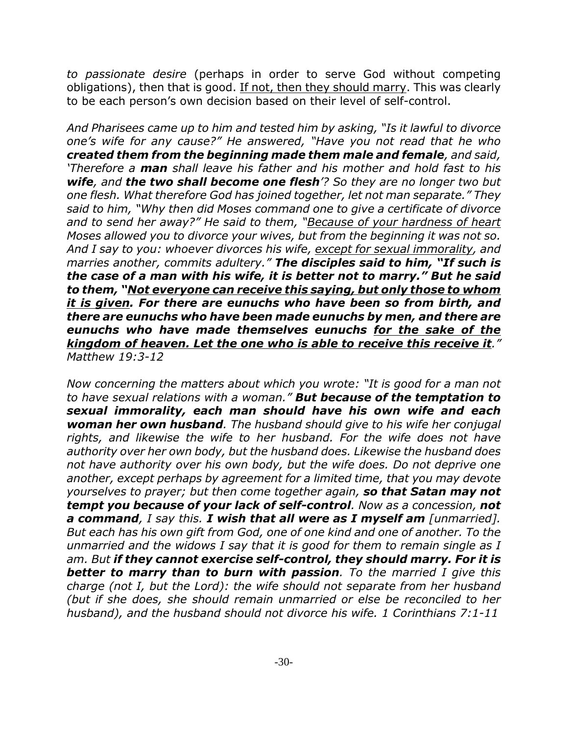*to passionate desire* (perhaps in order to serve God without competing obligations), then that is good. If not, then they should marry. This was clearly to be each person's own decision based on their level of self-control.

*And Pharisees came up to him and tested him by asking, "Is it lawful to divorce one's wife for any cause?" He answered, "Have you not read that he who created them from the beginning made them male and female, and said, 'Therefore a man shall leave his father and his mother and hold fast to his wife, and the two shall become one flesh'? So they are no longer two but one flesh. What therefore God has joined together, let not man separate." They said to him, "Why then did Moses command one to give a certificate of divorce and to send her away?" He said to them, "Because of your hardness of heart Moses allowed you to divorce your wives, but from the beginning it was not so. And I say to you: whoever divorces his wife, except for sexual immorality, and marries another, commits adultery." The disciples said to him, "If such is the case of a man with his wife, it is better not to marry." But he said to them, "Not everyone can receive this saying, but only those to whom it is given. For there are eunuchs who have been so from birth, and there are eunuchs who have been made eunuchs by men, and there are eunuchs who have made themselves eunuchs for the sake of the kingdom of heaven. Let the one who is able to receive this receive it." Matthew 19:3-12*

*Now concerning the matters about which you wrote: "It is good for a man not to have sexual relations with a woman." But because of the temptation to sexual immorality, each man should have his own wife and each woman her own husband. The husband should give to his wife her conjugal rights, and likewise the wife to her husband. For the wife does not have authority over her own body, but the husband does. Likewise the husband does not have authority over his own body, but the wife does. Do not deprive one another, except perhaps by agreement for a limited time, that you may devote yourselves to prayer; but then come together again, so that Satan may not tempt you because of your lack of self-control. Now as a concession, not a command, I say this. I wish that all were as I myself am [unmarried]. But each has his own gift from God, one of one kind and one of another. To the unmarried and the widows I say that it is good for them to remain single as I am. But if they cannot exercise self-control, they should marry. For it is better to marry than to burn with passion. To the married I give this charge (not I, but the Lord): the wife should not separate from her husband (but if she does, she should remain unmarried or else be reconciled to her husband), and the husband should not divorce his wife. 1 Corinthians 7:1-11*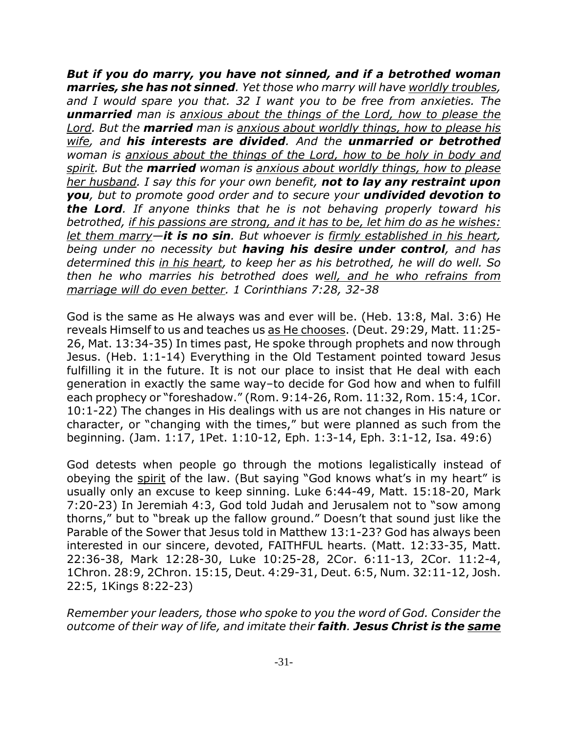*But if you do marry, you have not sinned, and if a betrothed woman marries, she has not sinned. Yet those who marry will have worldly troubles, and I would spare you that. 32 I want you to be free from anxieties. The unmarried man is anxious about the things of the Lord, how to please the Lord. But the married man is anxious about worldly things, how to please his wife, and his interests are divided. And the unmarried or betrothed woman is anxious about the things of the Lord, how to be holy in body and spirit. But the married woman is anxious about worldly things, how to please her husband. I say this for your own benefit, not to lay any restraint upon you, but to promote good order and to secure your undivided devotion to the Lord. If anyone thinks that he is not behaving properly toward his betrothed, if his passions are strong, and it has to be, let him do as he wishes: let them marry—it is no sin. But whoever is firmly established in his heart, being under no necessity but having his desire under control, and has determined this in his heart, to keep her as his betrothed, he will do well. So then he who marries his betrothed does well, and he who refrains from marriage will do even better. 1 Corinthians 7:28, 32-38*

God is the same as He always was and ever will be. (Heb. 13:8, Mal. 3:6) He reveals Himself to us and teaches us as He chooses. (Deut. 29:29, Matt. 11:25- 26, Mat. 13:34-35) In times past, He spoke through prophets and now through Jesus. (Heb. 1:1-14) Everything in the Old Testament pointed toward Jesus fulfilling it in the future. It is not our place to insist that He deal with each generation in exactly the same way–to decide for God how and when to fulfill each prophecy or "foreshadow." (Rom. 9:14-26, Rom. 11:32, Rom. 15:4, 1Cor. 10:1-22) The changes in His dealings with us are not changes in His nature or character, or "changing with the times," but were planned as such from the beginning. (Jam. 1:17, 1Pet. 1:10-12, Eph. 1:3-14, Eph. 3:1-12, Isa. 49:6)

God detests when people go through the motions legalistically instead of obeying the spirit of the law. (But saying "God knows what's in my heart" is usually only an excuse to keep sinning. Luke 6:44-49, Matt. 15:18-20, Mark 7:20-23) In Jeremiah 4:3, God told Judah and Jerusalem not to "sow among thorns," but to "break up the fallow ground." Doesn't that sound just like the Parable of the Sower that Jesus told in Matthew 13:1-23? God has always been interested in our sincere, devoted, FAITHFUL hearts. (Matt. 12:33-35, Matt. 22:36-38, Mark 12:28-30, Luke 10:25-28, 2Cor. 6:11-13, 2Cor. 11:2-4, 1Chron. 28:9, 2Chron. 15:15, Deut. 4:29-31, Deut. 6:5, Num. 32:11-12, Josh. 22:5, 1Kings 8:22-23)

*Remember your leaders, those who spoke to you the word of God. Consider the outcome of their way of life, and imitate their faith. Jesus Christ is the same*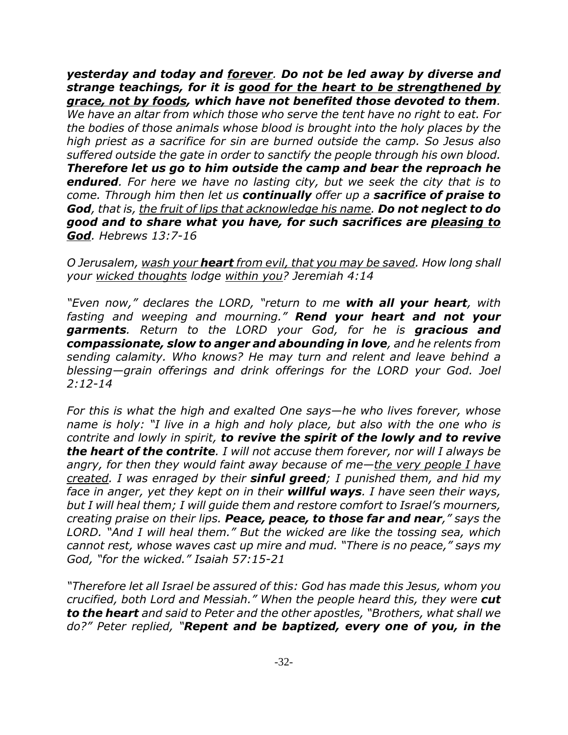*yesterday and today and forever. Do not be led away by diverse and strange teachings, for it is good for the heart to be strengthened by grace, not by foods, which have not benefited those devoted to them. We have an altar from which those who serve the tent have no right to eat. For the bodies of those animals whose blood is brought into the holy places by the high priest as a sacrifice for sin are burned outside the camp. So Jesus also suffered outside the gate in order to sanctify the people through his own blood. Therefore let us go to him outside the camp and bear the reproach he endured. For here we have no lasting city, but we seek the city that is to come. Through him then let us continually offer up a sacrifice of praise to God, that is, the fruit of lips that acknowledge his name. Do not neglect to do good and to share what you have, for such sacrifices are pleasing to God. Hebrews 13:7-16*

*O Jerusalem, wash your heart from evil, that you may be saved. How long shall your wicked thoughts lodge within you? Jeremiah 4:14*

*"Even now," declares the LORD, "return to me with all your heart, with fasting and weeping and mourning." Rend your heart and not your garments. Return to the LORD your God, for he is gracious and compassionate, slow to anger and abounding in love, and he relents from sending calamity. Who knows? He may turn and relent and leave behind a blessing—grain offerings and drink offerings for the LORD your God. Joel 2:12-14*

*For this is what the high and exalted One says—he who lives forever, whose name is holy: "I live in a high and holy place, but also with the one who is contrite and lowly in spirit, to revive the spirit of the lowly and to revive the heart of the contrite. I will not accuse them forever, nor will I always be angry, for then they would faint away because of me—the very people I have created. I was enraged by their sinful greed; I punished them, and hid my face in anger, yet they kept on in their willful ways. I have seen their ways, but I will heal them; I will guide them and restore comfort to Israel's mourners, creating praise on their lips. Peace, peace, to those far and near," says the LORD. "And I will heal them." But the wicked are like the tossing sea, which cannot rest, whose waves cast up mire and mud. "There is no peace," says my God, "for the wicked." Isaiah 57:15-21*

*"Therefore let all Israel be assured of this: God has made this Jesus, whom you crucified, both Lord and Messiah." When the people heard this, they were cut to the heart and said to Peter and the other apostles, "Brothers, what shall we do?" Peter replied, "Repent and be baptized, every one of you, in the*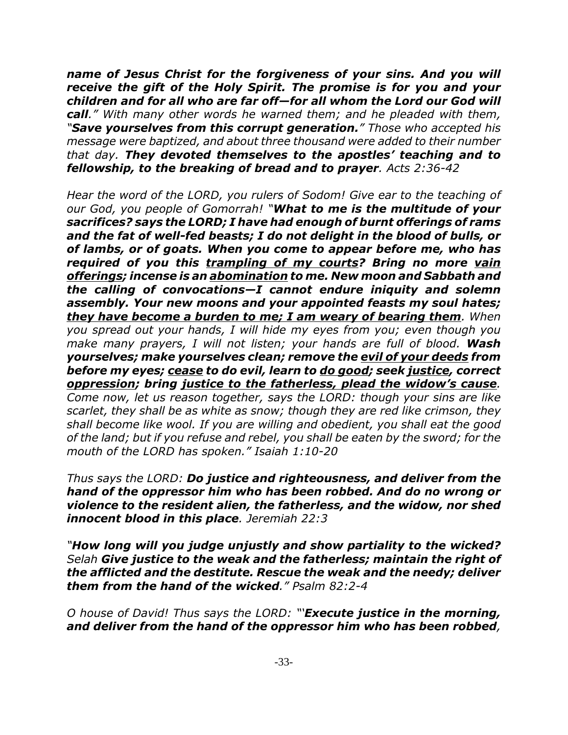*name of Jesus Christ for the forgiveness of your sins. And you will receive the gift of the Holy Spirit. The promise is for you and your children and for all who are far off—for all whom the Lord our God will call." With many other words he warned them; and he pleaded with them, "Save yourselves from this corrupt generation." Those who accepted his message were baptized, and about three thousand were added to their number that day. They devoted themselves to the apostles' teaching and to fellowship, to the breaking of bread and to prayer. Acts 2:36-42*

*Hear the word of the LORD, you rulers of Sodom! Give ear to the teaching of our God, you people of Gomorrah! "What to me is the multitude of your sacrifices? says the LORD; I have had enough of burnt offerings of rams and the fat of well-fed beasts; I do not delight in the blood of bulls, or of lambs, or of goats. When you come to appear before me, who has required of you this trampling of my courts? Bring no more vain offerings; incense is an abomination to me. New moon and Sabbath and the calling of convocations—I cannot endure iniquity and solemn assembly. Your new moons and your appointed feasts my soul hates; they have become a burden to me; I am weary of bearing them. When you spread out your hands, I will hide my eyes from you; even though you make many prayers, I will not listen; your hands are full of blood. Wash yourselves; make yourselves clean; remove the evil of your deeds from before my eyes; cease to do evil, learn to do good; seek justice, correct oppression; bring justice to the fatherless, plead the widow's cause. Come now, let us reason together, says the LORD: though your sins are like scarlet, they shall be as white as snow; though they are red like crimson, they shall become like wool. If you are willing and obedient, you shall eat the good of the land; but if you refuse and rebel, you shall be eaten by the sword; for the mouth of the LORD has spoken." Isaiah 1:10-20*

*Thus says the LORD: Do justice and righteousness, and deliver from the hand of the oppressor him who has been robbed. And do no wrong or violence to the resident alien, the fatherless, and the widow, nor shed innocent blood in this place. Jeremiah 22:3*

*"How long will you judge unjustly and show partiality to the wicked? Selah Give justice to the weak and the fatherless; maintain the right of the afflicted and the destitute. Rescue the weak and the needy; deliver them from the hand of the wicked." Psalm 82:2-4*

*O house of David! Thus says the LORD: "'Execute justice in the morning, and deliver from the hand of the oppressor him who has been robbed,*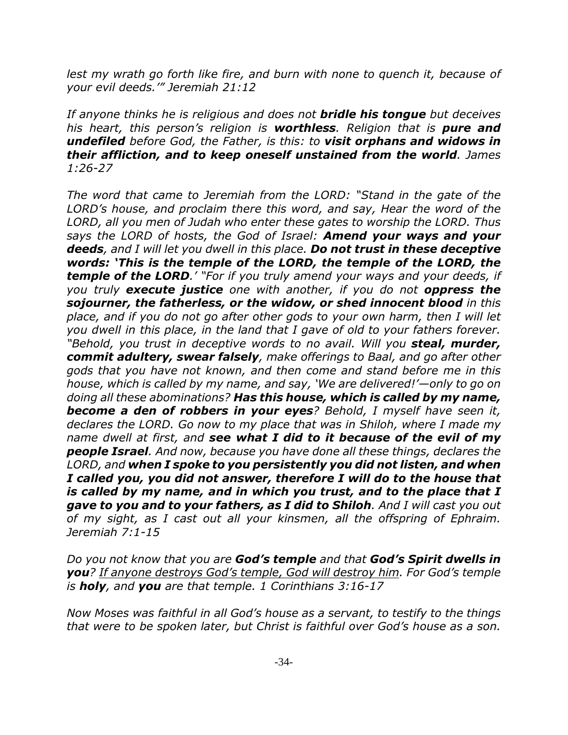*lest my wrath go forth like fire, and burn with none to quench it, because of your evil deeds.'" Jeremiah 21:12*

*If anyone thinks he is religious and does not bridle his tongue but deceives his heart, this person's religion is worthless. Religion that is pure and undefiled before God, the Father, is this: to visit orphans and widows in their affliction, and to keep oneself unstained from the world. James 1:26-27*

*The word that came to Jeremiah from the LORD: "Stand in the gate of the LORD's house, and proclaim there this word, and say, Hear the word of the LORD, all you men of Judah who enter these gates to worship the LORD. Thus says the LORD of hosts, the God of Israel: Amend your ways and your deeds, and I will let you dwell in this place. Do not trust in these deceptive words: 'This is the temple of the LORD, the temple of the LORD, the temple of the LORD.' "For if you truly amend your ways and your deeds, if you truly execute justice one with another, if you do not oppress the sojourner, the fatherless, or the widow, or shed innocent blood in this place, and if you do not go after other gods to your own harm, then I will let you dwell in this place, in the land that I gave of old to your fathers forever. "Behold, you trust in deceptive words to no avail. Will you steal, murder, commit adultery, swear falsely, make offerings to Baal, and go after other gods that you have not known, and then come and stand before me in this house, which is called by my name, and say, 'We are delivered!'—only to go on doing all these abominations? Has this house, which is called by my name, become a den of robbers in your eyes? Behold, I myself have seen it, declares the LORD. Go now to my place that was in Shiloh, where I made my name dwell at first, and see what I did to it because of the evil of my people Israel. And now, because you have done all these things, declares the LORD, and when I spoke to you persistently you did not listen, and when I called you, you did not answer, therefore I will do to the house that is called by my name, and in which you trust, and to the place that I gave to you and to your fathers, as I did to Shiloh. And I will cast you out of my sight, as I cast out all your kinsmen, all the offspring of Ephraim. Jeremiah 7:1-15*

*Do you not know that you are God's temple and that God's Spirit dwells in you? If anyone destroys God's temple, God will destroy him. For God's temple is holy, and you are that temple. 1 Corinthians 3:16-17*

*Now Moses was faithful in all God's house as a servant, to testify to the things that were to be spoken later, but Christ is faithful over God's house as a son.*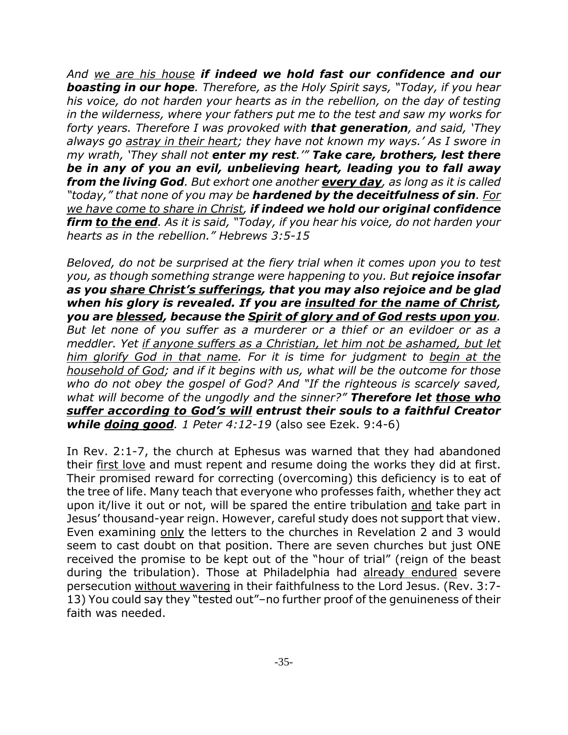*And we are his house if indeed we hold fast our confidence and our boasting in our hope. Therefore, as the Holy Spirit says, "Today, if you hear his voice, do not harden your hearts as in the rebellion, on the day of testing in the wilderness, where your fathers put me to the test and saw my works for forty years. Therefore I was provoked with that generation, and said, 'They always go astray in their heart; they have not known my ways.' As I swore in my wrath, 'They shall not enter my rest.'" Take care, brothers, lest there be in any of you an evil, unbelieving heart, leading you to fall away from the living God. But exhort one another every day, as long as it is called "today," that none of you may be hardened by the deceitfulness of sin. For we have come to share in Christ, if indeed we hold our original confidence firm to the end. As it is said, "Today, if you hear his voice, do not harden your hearts as in the rebellion." Hebrews 3:5-15*

*Beloved, do not be surprised at the fiery trial when it comes upon you to test you, as though something strange were happening to you. But rejoice insofar as you share Christ's sufferings, that you may also rejoice and be glad when his glory is revealed. If you are insulted for the name of Christ, you are blessed, because the Spirit of glory and of God rests upon you. But let none of you suffer as a murderer or a thief or an evildoer or as a meddler. Yet if anyone suffers as a Christian, let him not be ashamed, but let him glorify God in that name. For it is time for judgment to begin at the household of God; and if it begins with us, what will be the outcome for those who do not obey the gospel of God? And "If the righteous is scarcely saved, what will become of the ungodly and the sinner?" Therefore let those who suffer according to God's will entrust their souls to a faithful Creator while doing good. 1 Peter 4:12-19* (also see Ezek. 9:4-6)

In Rev. 2:1-7, the church at Ephesus was warned that they had abandoned their first love and must repent and resume doing the works they did at first. Their promised reward for correcting (overcoming) this deficiency is to eat of the tree of life. Many teach that everyone who professes faith, whether they act upon it/live it out or not, will be spared the entire tribulation and take part in Jesus' thousand-year reign. However, careful study does not support that view. Even examining only the letters to the churches in Revelation 2 and 3 would seem to cast doubt on that position. There are seven churches but just ONE received the promise to be kept out of the "hour of trial" (reign of the beast during the tribulation). Those at Philadelphia had already endured severe persecution without wavering in their faithfulness to the Lord Jesus. (Rev. 3:7- 13) You could say they "tested out"–no further proof of the genuineness of their faith was needed.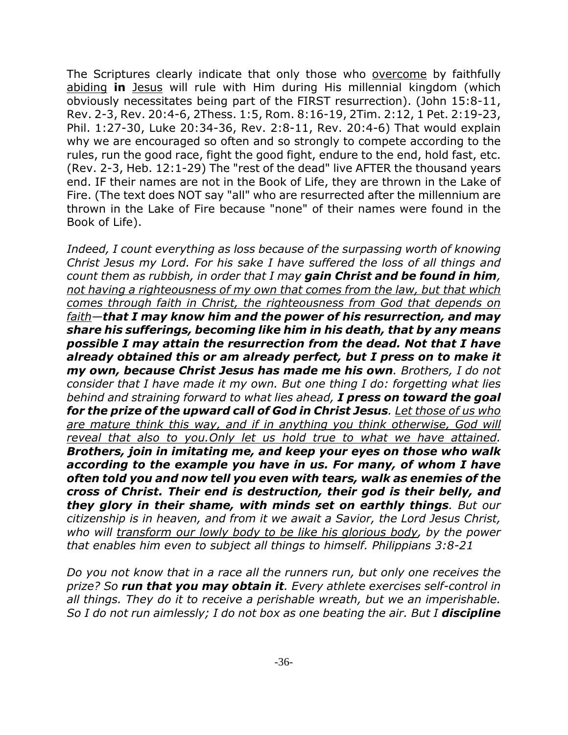The Scriptures clearly indicate that only those who overcome by faithfully abiding **in** Jesus will rule with Him during His millennial kingdom (which obviously necessitates being part of the FIRST resurrection). (John 15:8-11, Rev. 2-3, Rev. 20:4-6, 2Thess. 1:5, Rom. 8:16-19, 2Tim. 2:12, 1 Pet. 2:19-23, Phil. 1:27-30, Luke 20:34-36, Rev. 2:8-11, Rev. 20:4-6) That would explain why we are encouraged so often and so strongly to compete according to the rules, run the good race, fight the good fight, endure to the end, hold fast, etc. (Rev. 2-3, Heb. 12:1-29) The "rest of the dead" live AFTER the thousand years end. IF their names are not in the Book of Life, they are thrown in the Lake of Fire. (The text does NOT say "all" who are resurrected after the millennium are thrown in the Lake of Fire because "none" of their names were found in the Book of Life).

*Indeed, I count everything as loss because of the surpassing worth of knowing Christ Jesus my Lord. For his sake I have suffered the loss of all things and count them as rubbish, in order that I may gain Christ and be found in him, not having a righteousness of my own that comes from the law, but that which comes through faith in Christ, the righteousness from God that depends on faith—that I may know him and the power of his resurrection, and may share his sufferings, becoming like him in his death, that by any means possible I may attain the resurrection from the dead. Not that I have already obtained this or am already perfect, but I press on to make it my own, because Christ Jesus has made me his own. Brothers, I do not consider that I have made it my own. But one thing I do: forgetting what lies behind and straining forward to what lies ahead, I press on toward the goal for the prize of the upward call of God in Christ Jesus. Let those of us who are mature think this way, and if in anything you think otherwise, God will reveal that also to you.Only let us hold true to what we have attained. Brothers, join in imitating me, and keep your eyes on those who walk according to the example you have in us. For many, of whom I have often told you and now tell you even with tears, walk as enemies of the cross of Christ. Their end is destruction, their god is their belly, and they glory in their shame, with minds set on earthly things. But our citizenship is in heaven, and from it we await a Savior, the Lord Jesus Christ, who will transform our lowly body to be like his glorious body, by the power that enables him even to subject all things to himself. Philippians 3:8-21*

*Do you not know that in a race all the runners run, but only one receives the prize? So run that you may obtain it. Every athlete exercises self-control in all things. They do it to receive a perishable wreath, but we an imperishable. So I do not run aimlessly; I do not box as one beating the air. But I discipline*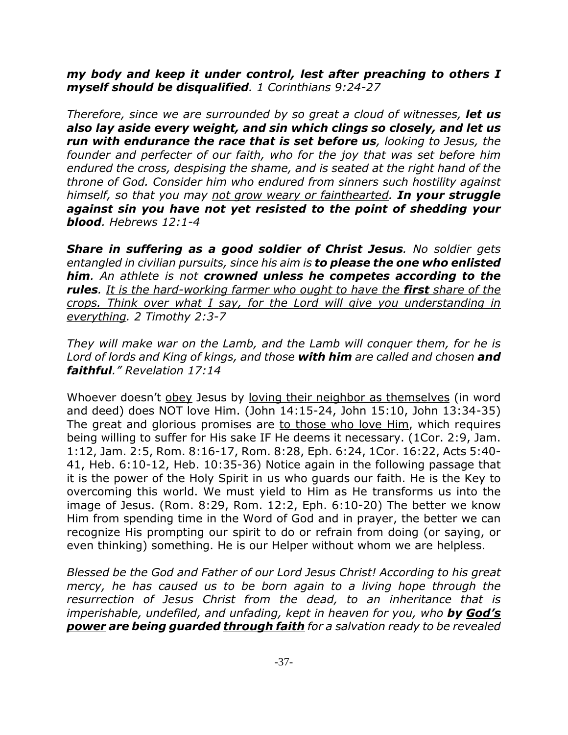*my body and keep it under control, lest after preaching to others I myself should be disqualified. 1 Corinthians 9:24-27*

*Therefore, since we are surrounded by so great a cloud of witnesses, let us also lay aside every weight, and sin which clings so closely, and let us run with endurance the race that is set before us, looking to Jesus, the founder and perfecter of our faith, who for the joy that was set before him endured the cross, despising the shame, and is seated at the right hand of the throne of God. Consider him who endured from sinners such hostility against himself, so that you may not grow weary or fainthearted. In your struggle against sin you have not yet resisted to the point of shedding your blood. Hebrews 12:1-4*

*Share in suffering as a good soldier of Christ Jesus. No soldier gets entangled in civilian pursuits, since his aim is to please the one who enlisted him. An athlete is not crowned unless he competes according to the rules. It is the hard-working farmer who ought to have the first share of the crops. Think over what I say, for the Lord will give you understanding in everything. 2 Timothy 2:3-7*

*They will make war on the Lamb, and the Lamb will conquer them, for he is Lord of lords and King of kings, and those with him are called and chosen and faithful." Revelation 17:14*

Whoever doesn't obey Jesus by loving their neighbor as themselves (in word and deed) does NOT love Him. (John 14:15-24, John 15:10, John 13:34-35) The great and glorious promises are to those who love Him, which requires being willing to suffer for His sake IF He deems it necessary. (1Cor. 2:9, Jam. 1:12, Jam. 2:5, Rom. 8:16-17, Rom. 8:28, Eph. 6:24, 1Cor. 16:22, Acts 5:40- 41, Heb. 6:10-12, Heb. 10:35-36) Notice again in the following passage that it is the power of the Holy Spirit in us who guards our faith. He is the Key to overcoming this world. We must yield to Him as He transforms us into the image of Jesus. (Rom. 8:29, Rom. 12:2, Eph. 6:10-20) The better we know Him from spending time in the Word of God and in prayer, the better we can recognize His prompting our spirit to do or refrain from doing (or saying, or even thinking) something. He is our Helper without whom we are helpless.

*Blessed be the God and Father of our Lord Jesus Christ! According to his great mercy, he has caused us to be born again to a living hope through the resurrection of Jesus Christ from the dead, to an inheritance that is imperishable, undefiled, and unfading, kept in heaven for you, who by God's power are being guarded through faith for a salvation ready to be revealed*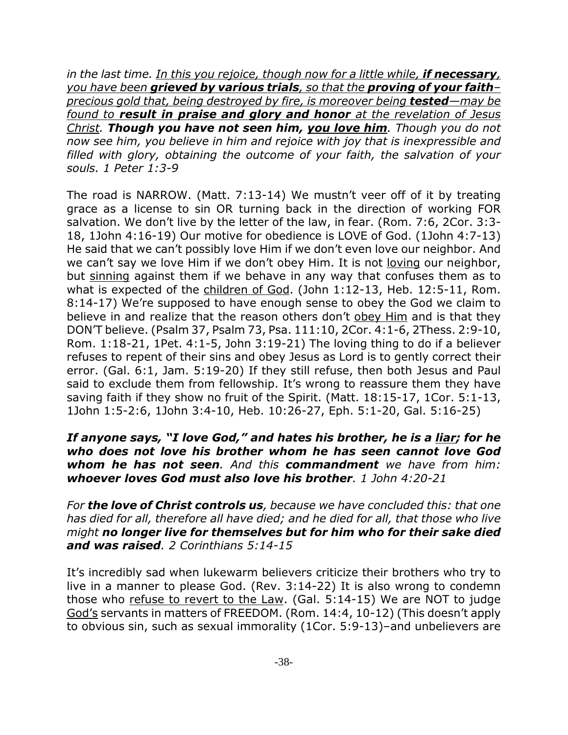*in the last time. In this you rejoice, though now for a little while, if necessary, you have been grieved by various trials, so that the proving of your faith– precious gold that, being destroyed by fire, is moreover being tested—may be found to result in praise and glory and honor at the revelation of Jesus Christ. Though you have not seen him, you love him. Though you do not now see him, you believe in him and rejoice with joy that is inexpressible and filled with glory, obtaining the outcome of your faith, the salvation of your souls. 1 Peter 1:3-9*

The road is NARROW. (Matt. 7:13-14) We mustn't veer off of it by treating grace as a license to sin OR turning back in the direction of working FOR salvation. We don't live by the letter of the law, in fear. (Rom. 7:6, 2Cor. 3:3- 18, 1John 4:16-19) Our motive for obedience is LOVE of God. (1John 4:7-13) He said that we can't possibly love Him if we don't even love our neighbor. And we can't say we love Him if we don't obey Him. It is not loving our neighbor, but sinning against them if we behave in any way that confuses them as to what is expected of the children of God. (John 1:12-13, Heb. 12:5-11, Rom. 8:14-17) We're supposed to have enough sense to obey the God we claim to believe in and realize that the reason others don't obey Him and is that they DON'T believe. (Psalm 37, Psalm 73, Psa. 111:10, 2Cor. 4:1-6, 2Thess. 2:9-10, Rom. 1:18-21, 1Pet. 4:1-5, John 3:19-21) The loving thing to do if a believer refuses to repent of their sins and obey Jesus as Lord is to gently correct their error. (Gal. 6:1, Jam. 5:19-20) If they still refuse, then both Jesus and Paul said to exclude them from fellowship. It's wrong to reassure them they have saving faith if they show no fruit of the Spirit. (Matt. 18:15-17, 1Cor. 5:1-13, 1John 1:5-2:6, 1John 3:4-10, Heb. 10:26-27, Eph. 5:1-20, Gal. 5:16-25)

*If anyone says, "I love God," and hates his brother, he is a liar; for he who does not love his brother whom he has seen cannot love God whom he has not seen. And this commandment we have from him: whoever loves God must also love his brother. 1 John 4:20-21*

*For the love of Christ controls us, because we have concluded this: that one has died for all, therefore all have died; and he died for all, that those who live might no longer live for themselves but for him who for their sake died and was raised. 2 Corinthians 5:14-15*

It's incredibly sad when lukewarm believers criticize their brothers who try to live in a manner to please God. (Rev. 3:14-22) It is also wrong to condemn those who refuse to revert to the Law. (Gal. 5:14-15) We are NOT to judge God's servants in matters of FREEDOM. (Rom. 14:4, 10-12) (This doesn't apply to obvious sin, such as sexual immorality (1Cor. 5:9-13)–and unbelievers are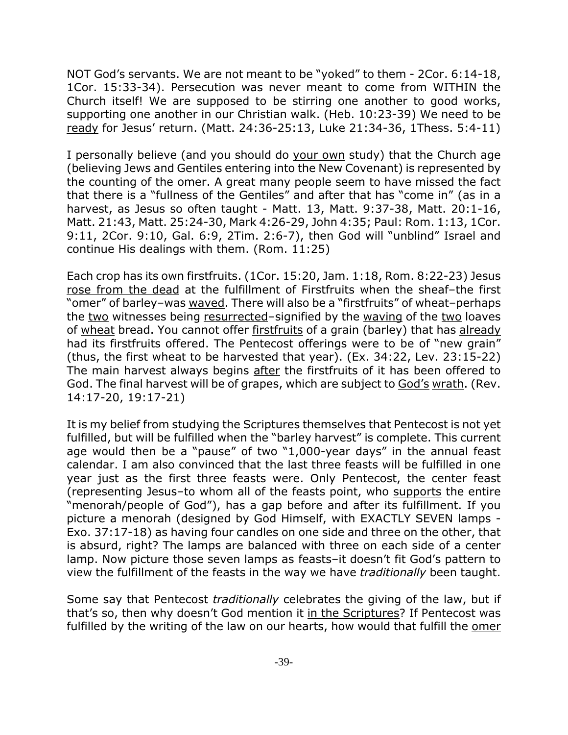NOT God's servants. We are not meant to be "yoked" to them - 2Cor. 6:14-18, 1Cor. 15:33-34). Persecution was never meant to come from WITHIN the Church itself! We are supposed to be stirring one another to good works, supporting one another in our Christian walk. (Heb. 10:23-39) We need to be ready for Jesus' return. (Matt. 24:36-25:13, Luke 21:34-36, 1Thess. 5:4-11)

I personally believe (and you should do your own study) that the Church age (believing Jews and Gentiles entering into the New Covenant) is represented by the counting of the omer. A great many people seem to have missed the fact that there is a "fullness of the Gentiles" and after that has "come in" (as in a harvest, as Jesus so often taught - Matt. 13, Matt. 9:37-38, Matt. 20:1-16, Matt. 21:43, Matt. 25:24-30, Mark 4:26-29, John 4:35; Paul: Rom. 1:13, 1Cor. 9:11, 2Cor. 9:10, Gal. 6:9, 2Tim. 2:6-7), then God will "unblind" Israel and continue His dealings with them. (Rom. 11:25)

Each crop has its own firstfruits. (1Cor. 15:20, Jam. 1:18, Rom. 8:22-23) Jesus rose from the dead at the fulfillment of Firstfruits when the sheaf–the first "omer" of barley–was waved. There will also be a "firstfruits" of wheat–perhaps the two witnesses being resurrected–signified by the waving of the two loaves of wheat bread. You cannot offer firstfruits of a grain (barley) that has already had its firstfruits offered. The Pentecost offerings were to be of "new grain" (thus, the first wheat to be harvested that year). (Ex. 34:22, Lev. 23:15-22) The main harvest always begins after the firstfruits of it has been offered to God. The final harvest will be of grapes, which are subject to God's wrath. (Rev. 14:17-20, 19:17-21)

It is my belief from studying the Scriptures themselves that Pentecost is not yet fulfilled, but will be fulfilled when the "barley harvest" is complete. This current age would then be a "pause" of two "1,000-year days" in the annual feast calendar. I am also convinced that the last three feasts will be fulfilled in one year just as the first three feasts were. Only Pentecost, the center feast (representing Jesus–to whom all of the feasts point, who supports the entire "menorah/people of God"), has a gap before and after its fulfillment. If you picture a menorah (designed by God Himself, with EXACTLY SEVEN lamps - Exo. 37:17-18) as having four candles on one side and three on the other, that is absurd, right? The lamps are balanced with three on each side of a center lamp. Now picture those seven lamps as feasts–it doesn't fit God's pattern to view the fulfillment of the feasts in the way we have *traditionally* been taught.

Some say that Pentecost *traditionally* celebrates the giving of the law, but if that's so, then why doesn't God mention it in the Scriptures? If Pentecost was fulfilled by the writing of the law on our hearts, how would that fulfill the omer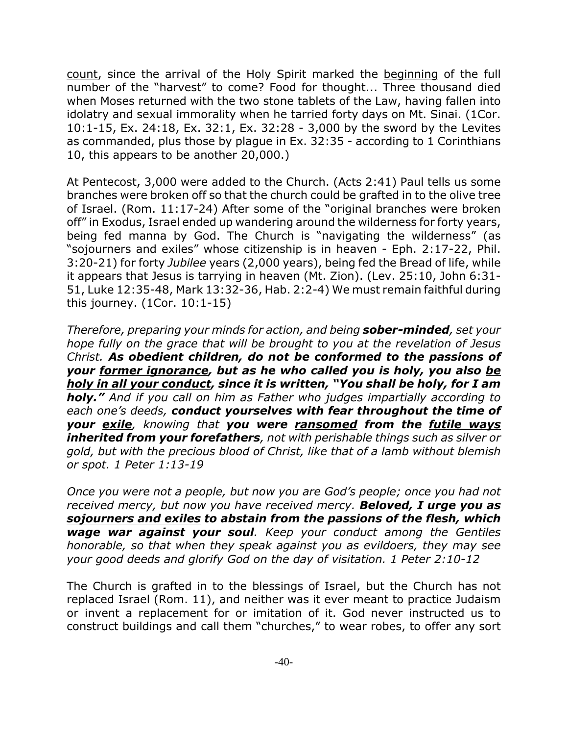count, since the arrival of the Holy Spirit marked the beginning of the full number of the "harvest" to come? Food for thought... Three thousand died when Moses returned with the two stone tablets of the Law, having fallen into idolatry and sexual immorality when he tarried forty days on Mt. Sinai. (1Cor. 10:1-15, Ex. 24:18, Ex. 32:1, Ex. 32:28 - 3,000 by the sword by the Levites as commanded, plus those by plague in Ex. 32:35 - according to 1 Corinthians 10, this appears to be another 20,000.)

At Pentecost, 3,000 were added to the Church. (Acts 2:41) Paul tells us some branches were broken off so that the church could be grafted in to the olive tree of Israel. (Rom. 11:17-24) After some of the "original branches were broken off" in Exodus, Israel ended up wandering around the wilderness for forty years, being fed manna by God. The Church is "navigating the wilderness" (as "sojourners and exiles" whose citizenship is in heaven - Eph. 2:17-22, Phil. 3:20-21) for forty *Jubilee* years (2,000 years), being fed the Bread of life, while it appears that Jesus is tarrying in heaven (Mt. Zion). (Lev. 25:10, John 6:31- 51, Luke 12:35-48, Mark 13:32-36, Hab. 2:2-4) We must remain faithful during this journey. (1Cor. 10:1-15)

*Therefore, preparing your minds for action, and being sober-minded, set your hope fully on the grace that will be brought to you at the revelation of Jesus Christ. As obedient children, do not be conformed to the passions of your former ignorance, but as he who called you is holy, you also be holy in all your conduct, since it is written, "You shall be holy, for I am holy." And if you call on him as Father who judges impartially according to each one's deeds, conduct yourselves with fear throughout the time of your exile, knowing that you were ransomed from the futile ways inherited from your forefathers, not with perishable things such as silver or gold, but with the precious blood of Christ, like that of a lamb without blemish or spot. 1 Peter 1:13-19*

*Once you were not a people, but now you are God's people; once you had not received mercy, but now you have received mercy. Beloved, I urge you as sojourners and exiles to abstain from the passions of the flesh, which wage war against your soul. Keep your conduct among the Gentiles honorable, so that when they speak against you as evildoers, they may see your good deeds and glorify God on the day of visitation. 1 Peter 2:10-12*

The Church is grafted in to the blessings of Israel, but the Church has not replaced Israel (Rom. 11), and neither was it ever meant to practice Judaism or invent a replacement for or imitation of it. God never instructed us to construct buildings and call them "churches," to wear robes, to offer any sort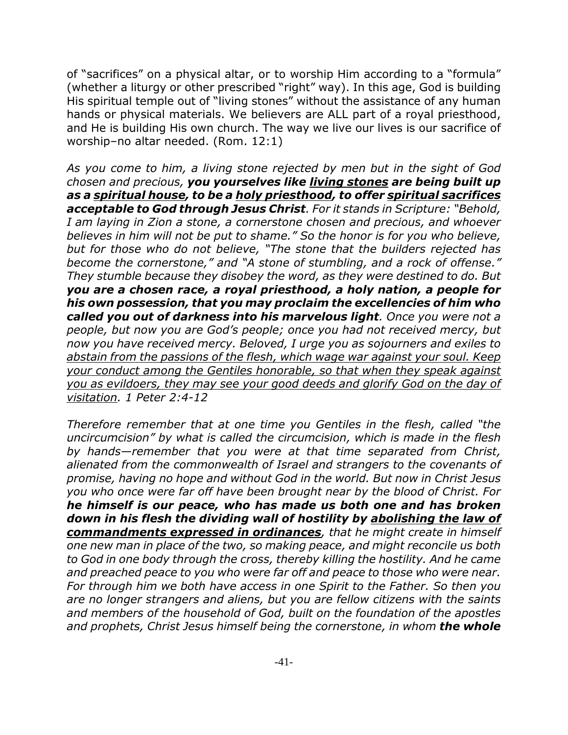of "sacrifices" on a physical altar, or to worship Him according to a "formula" (whether a liturgy or other prescribed "right" way). In this age, God is building His spiritual temple out of "living stones" without the assistance of any human hands or physical materials. We believers are ALL part of a royal priesthood, and He is building His own church. The way we live our lives is our sacrifice of worship–no altar needed. (Rom. 12:1)

*As you come to him, a living stone rejected by men but in the sight of God chosen and precious, you yourselves like living stones are being built up as a spiritual house, to be a holy priesthood, to offer spiritual sacrifices acceptable to God through Jesus Christ. For it stands in Scripture: "Behold, I am laying in Zion a stone, a cornerstone chosen and precious, and whoever believes in him will not be put to shame." So the honor is for you who believe, but for those who do not believe, "The stone that the builders rejected has become the cornerstone," and "A stone of stumbling, and a rock of offense." They stumble because they disobey the word, as they were destined to do. But you are a chosen race, a royal priesthood, a holy nation, a people for his own possession, that you may proclaim the excellencies of him who called you out of darkness into his marvelous light. Once you were not a people, but now you are God's people; once you had not received mercy, but now you have received mercy. Beloved, I urge you as sojourners and exiles to abstain from the passions of the flesh, which wage war against your soul. Keep your conduct among the Gentiles honorable, so that when they speak against you as evildoers, they may see your good deeds and glorify God on the day of visitation. 1 Peter 2:4-12*

*Therefore remember that at one time you Gentiles in the flesh, called "the uncircumcision" by what is called the circumcision, which is made in the flesh by hands—remember that you were at that time separated from Christ, alienated from the commonwealth of Israel and strangers to the covenants of promise, having no hope and without God in the world. But now in Christ Jesus you who once were far off have been brought near by the blood of Christ. For he himself is our peace, who has made us both one and has broken down in his flesh the dividing wall of hostility by abolishing the law of commandments expressed in ordinances, that he might create in himself one new man in place of the two, so making peace, and might reconcile us both to God in one body through the cross, thereby killing the hostility. And he came and preached peace to you who were far off and peace to those who were near. For through him we both have access in one Spirit to the Father. So then you are no longer strangers and aliens, but you are fellow citizens with the saints and members of the household of God, built on the foundation of the apostles* and prophets, Christ Jesus himself being the cornerstone, in whom **the whole**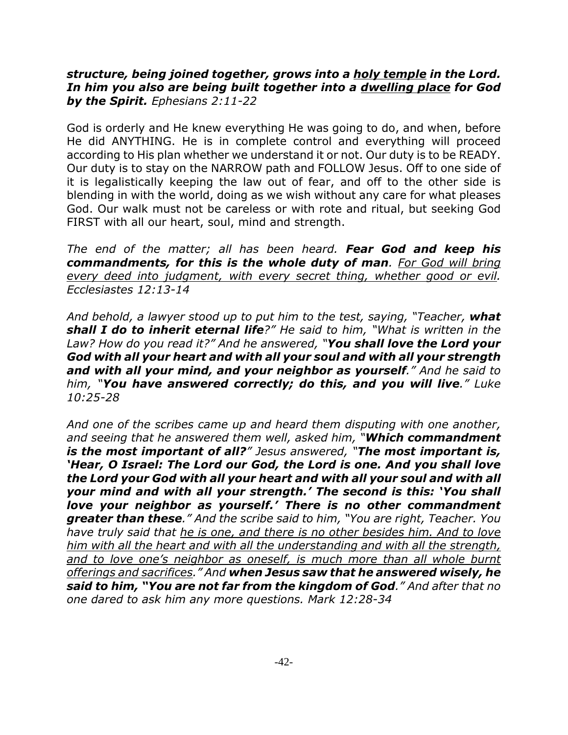# *structure, being joined together, grows into a holy temple in the Lord. In him you also are being built together into a dwelling place for God by the Spirit. Ephesians 2:11-22*

God is orderly and He knew everything He was going to do, and when, before He did ANYTHING. He is in complete control and everything will proceed according to His plan whether we understand it or not. Our duty is to be READY. Our duty is to stay on the NARROW path and FOLLOW Jesus. Off to one side of it is legalistically keeping the law out of fear, and off to the other side is blending in with the world, doing as we wish without any care for what pleases God. Our walk must not be careless or with rote and ritual, but seeking God FIRST with all our heart, soul, mind and strength.

*The end of the matter; all has been heard. Fear God and keep his commandments, for this is the whole duty of man. For God will bring every deed into judgment, with every secret thing, whether good or evil. Ecclesiastes 12:13-14*

*And behold, a lawyer stood up to put him to the test, saying, "Teacher, what shall I do to inherit eternal life?" He said to him, "What is written in the Law? How do you read it?" And he answered, "You shall love the Lord your God with all your heart and with all your soul and with all your strength and with all your mind, and your neighbor as yourself." And he said to him, "You have answered correctly; do this, and you will live." Luke 10:25-28*

*And one of the scribes came up and heard them disputing with one another, and seeing that he answered them well, asked him, "Which commandment is the most important of all?" Jesus answered, "The most important is, 'Hear, O Israel: The Lord our God, the Lord is one. And you shall love the Lord your God with all your heart and with all your soul and with all your mind and with all your strength.' The second is this: 'You shall love your neighbor as yourself.' There is no other commandment greater than these." And the scribe said to him, "You are right, Teacher. You have truly said that he is one, and there is no other besides him. And to love him with all the heart and with all the understanding and with all the strength, and to love one's neighbor as oneself, is much more than all whole burnt offerings and sacrifices." And when Jesus saw that he answered wisely, he said to him, "You are not far from the kingdom of God." And after that no one dared to ask him any more questions. Mark 12:28-34*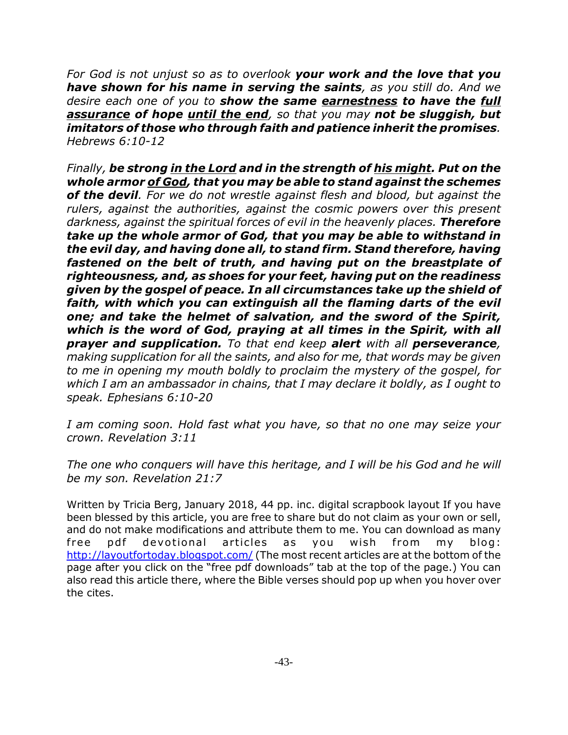*For God is not unjust so as to overlook your work and the love that you have shown for his name in serving the saints, as you still do. And we desire each one of you to show the same earnestness to have the full assurance of hope until the end, so that you may not be sluggish, but imitators of those who through faith and patience inherit the promises. Hebrews 6:10-12*

*Finally, be strong in the Lord and in the strength of his might. Put on the whole armor of God, that you may be able to stand against the schemes of the devil. For we do not wrestle against flesh and blood, but against the rulers, against the authorities, against the cosmic powers over this present darkness, against the spiritual forces of evil in the heavenly places. Therefore take up the whole armor of God, that you may be able to withstand in the evil day, and having done all, to stand firm. Stand therefore, having fastened on the belt of truth, and having put on the breastplate of righteousness, and, as shoes for your feet, having put on the readiness given by the gospel of peace. In all circumstances take up the shield of faith, with which you can extinguish all the flaming darts of the evil one; and take the helmet of salvation, and the sword of the Spirit, which is the word of God, praying at all times in the Spirit, with all prayer and supplication. To that end keep alert with all perseverance, making supplication for all the saints, and also for me, that words may be given to me in opening my mouth boldly to proclaim the mystery of the gospel, for which I am an ambassador in chains, that I may declare it boldly, as I ought to speak. Ephesians 6:10-20*

*I am coming soon. Hold fast what you have, so that no one may seize your crown. Revelation 3:11*

*The one who conquers will have this heritage, and I will be his God and he will be my son. Revelation 21:7*

Written by Tricia Berg, January 2018, 44 pp. inc. digital scrapbook layout If you have been blessed by this article, you are free to share but do not claim as your own or sell, and do not make modifications and attribute them to me. You can download as many free pdf devotional articles as you wish from my blog: http://layoutfortoday.blogspot.com/ (The most recent articles are at the bottom of the page after you click on the "free pdf downloads" tab at the top of the page.) You can also read this article there, where the Bible verses should pop up when you hover over the cites.